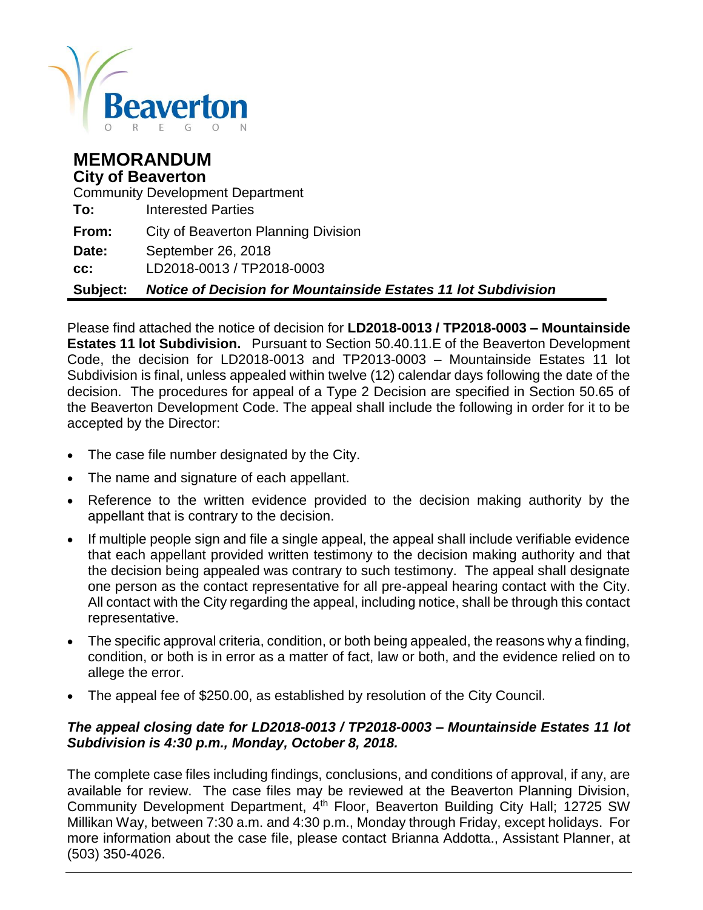

| <b>MEMORANDUM</b><br><b>City of Beaverton</b><br><b>Community Development Department</b> |                                                                       |  |  |
|------------------------------------------------------------------------------------------|-----------------------------------------------------------------------|--|--|
| To:                                                                                      | <b>Interested Parties</b>                                             |  |  |
| From:                                                                                    | <b>City of Beaverton Planning Division</b>                            |  |  |
| Date:                                                                                    | September 26, 2018                                                    |  |  |
| cc:                                                                                      | LD2018-0013 / TP2018-0003                                             |  |  |
| Subject:                                                                                 | <b>Notice of Decision for Mountainside Estates 11 lot Subdivision</b> |  |  |

Please find attached the notice of decision for **LD2018-0013 / TP2018-0003 – Mountainside Estates 11 lot Subdivision.** Pursuant to Section 50.40.11.E of the Beaverton Development Code, the decision for LD2018-0013 and TP2013-0003 – Mountainside Estates 11 lot Subdivision is final, unless appealed within twelve (12) calendar days following the date of the decision. The procedures for appeal of a Type 2 Decision are specified in Section 50.65 of the Beaverton Development Code. The appeal shall include the following in order for it to be accepted by the Director:

- The case file number designated by the City.
- The name and signature of each appellant.
- Reference to the written evidence provided to the decision making authority by the appellant that is contrary to the decision.
- If multiple people sign and file a single appeal, the appeal shall include verifiable evidence that each appellant provided written testimony to the decision making authority and that the decision being appealed was contrary to such testimony. The appeal shall designate one person as the contact representative for all pre-appeal hearing contact with the City. All contact with the City regarding the appeal, including notice, shall be through this contact representative.
- The specific approval criteria, condition, or both being appealed, the reasons why a finding, condition, or both is in error as a matter of fact, law or both, and the evidence relied on to allege the error.
- The appeal fee of \$250.00, as established by resolution of the City Council.

#### *The appeal closing date for LD2018-0013 / TP2018-0003 – Mountainside Estates 11 lot Subdivision is 4:30 p.m., Monday, October 8, 2018.*

The complete case files including findings, conclusions, and conditions of approval, if any, are available for review. The case files may be reviewed at the Beaverton Planning Division, Community Development Department, 4<sup>th</sup> Floor, Beaverton Building City Hall; 12725 SW Millikan Way, between 7:30 a.m. and 4:30 p.m., Monday through Friday, except holidays. For more information about the case file, please contact Brianna Addotta., Assistant Planner, at (503) 350-4026.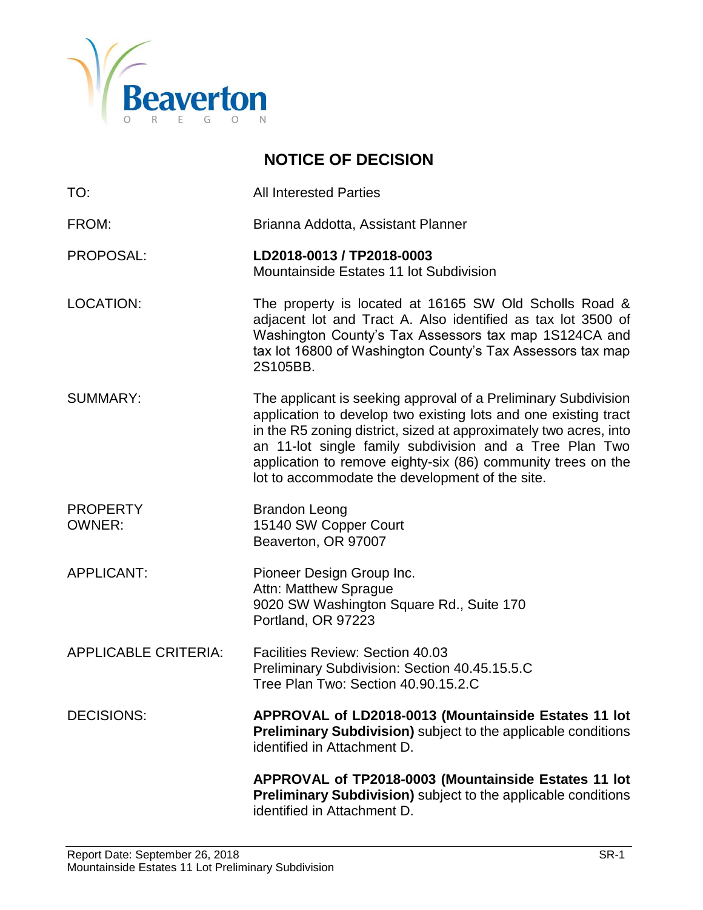

# **NOTICE OF DECISION**

TO: All Interested Parties FROM: Brianna Addotta, Assistant Planner PROPOSAL: **LD2018-0013 / TP2018-0003** Mountainside Estates 11 lot Subdivision LOCATION: The property is located at 16165 SW Old Scholls Road & adjacent lot and Tract A. Also identified as tax lot 3500 of Washington County's Tax Assessors tax map 1S124CA and tax lot 16800 of Washington County's Tax Assessors tax map 2S105BB. SUMMARY: The applicant is seeking approval of a Preliminary Subdivision application to develop two existing lots and one existing tract in the R5 zoning district, sized at approximately two acres, into an 11-lot single family subdivision and a Tree Plan Two application to remove eighty-six (86) community trees on the lot to accommodate the development of the site. PROPERTY Brandon Leong OWNER: 15140 SW Copper Court Beaverton, OR 97007 APPLICANT: Pioneer Design Group Inc. Attn: Matthew Sprague 9020 SW Washington Square Rd., Suite 170 Portland, OR 97223 APPLICABLE CRITERIA: Facilities Review: Section 40.03 Preliminary Subdivision: Section 40.45.15.5.C Tree Plan Two: Section 40.90.15.2.C DECISIONS: **APPROVAL of LD2018-0013 (Mountainside Estates 11 lot Preliminary Subdivision)** subject to the applicable conditions identified in Attachment D. **APPROVAL of TP2018-0003 (Mountainside Estates 11 lot Preliminary Subdivision)** subject to the applicable conditions

identified in Attachment D.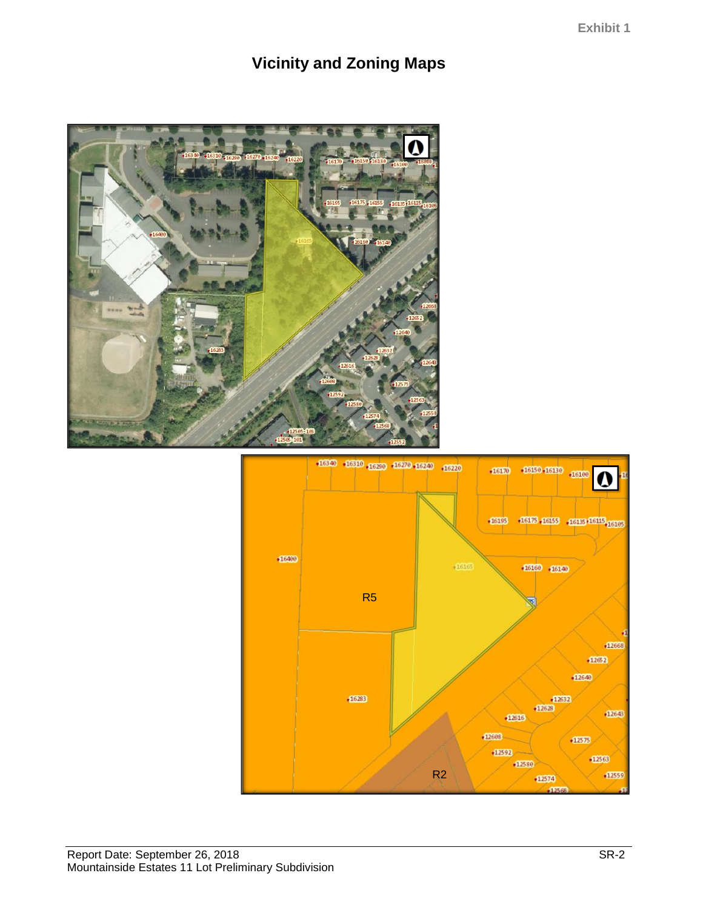# **Vicinity and Zoning Maps**



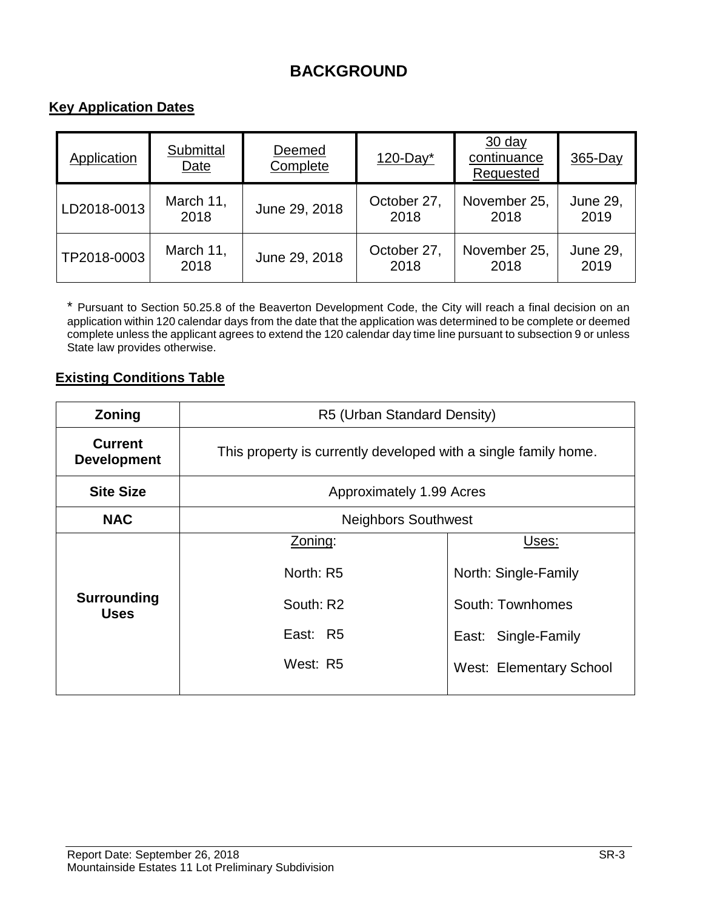# **BACKGROUND**

# **Key Application Dates**

| Application | Submittal<br>Date | Deemed<br>Complete | $120$ -Day*         | $30$ day<br>continuance<br>Requested | $365$ -Day              |
|-------------|-------------------|--------------------|---------------------|--------------------------------------|-------------------------|
| LD2018-0013 | March 11,<br>2018 | June 29, 2018      | October 27,<br>2018 | November 25,<br>2018                 | <b>June 29,</b><br>2019 |
| TP2018-0003 | March 11,<br>2018 | June 29, 2018      | October 27,<br>2018 | November 25,<br>2018                 | <b>June 29,</b><br>2019 |

\* Pursuant to Section 50.25.8 of the Beaverton Development Code, the City will reach a final decision on an application within 120 calendar days from the date that the application was determined to be complete or deemed complete unless the applicant agrees to extend the 120 calendar day time line pursuant to subsection 9 or unless State law provides otherwise.

## **Existing Conditions Table**

| Zoning                               | R5 (Urban Standard Density)                                     |                                |  |  |
|--------------------------------------|-----------------------------------------------------------------|--------------------------------|--|--|
| <b>Current</b><br><b>Development</b> | This property is currently developed with a single family home. |                                |  |  |
| <b>Site Size</b>                     | Approximately 1.99 Acres                                        |                                |  |  |
| <b>NAC</b>                           | <b>Neighbors Southwest</b>                                      |                                |  |  |
|                                      | Zoning:                                                         | Uses:                          |  |  |
|                                      | North: R5                                                       | North: Single-Family           |  |  |
| Surrounding<br><b>Uses</b>           | South: R2                                                       | South: Townhomes               |  |  |
|                                      | East: R5                                                        | East: Single-Family            |  |  |
|                                      | West: R5                                                        | <b>West: Elementary School</b> |  |  |
|                                      |                                                                 |                                |  |  |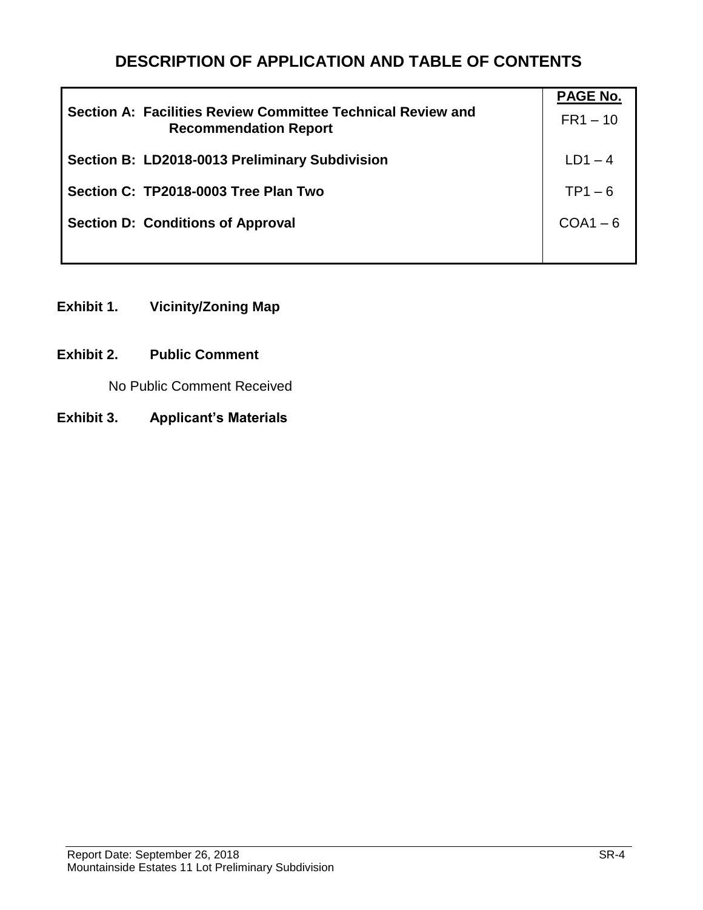# **DESCRIPTION OF APPLICATION AND TABLE OF CONTENTS**

| Section A: Facilities Review Committee Technical Review and<br><b>Recommendation Report</b> | <b>PAGE No.</b><br>$FR1 - 10$ |
|---------------------------------------------------------------------------------------------|-------------------------------|
| Section B: LD2018-0013 Preliminary Subdivision                                              | $LD1 - 4$                     |
| Section C: TP2018-0003 Tree Plan Two                                                        | $TP1 - 6$                     |
| <b>Section D: Conditions of Approval</b>                                                    | $COA1 - 6$                    |
|                                                                                             |                               |

- **Exhibit 1. Vicinity/Zoning Map**
- **Exhibit 2. Public Comment**

No Public Comment Received

**Exhibit 3. Applicant's Materials**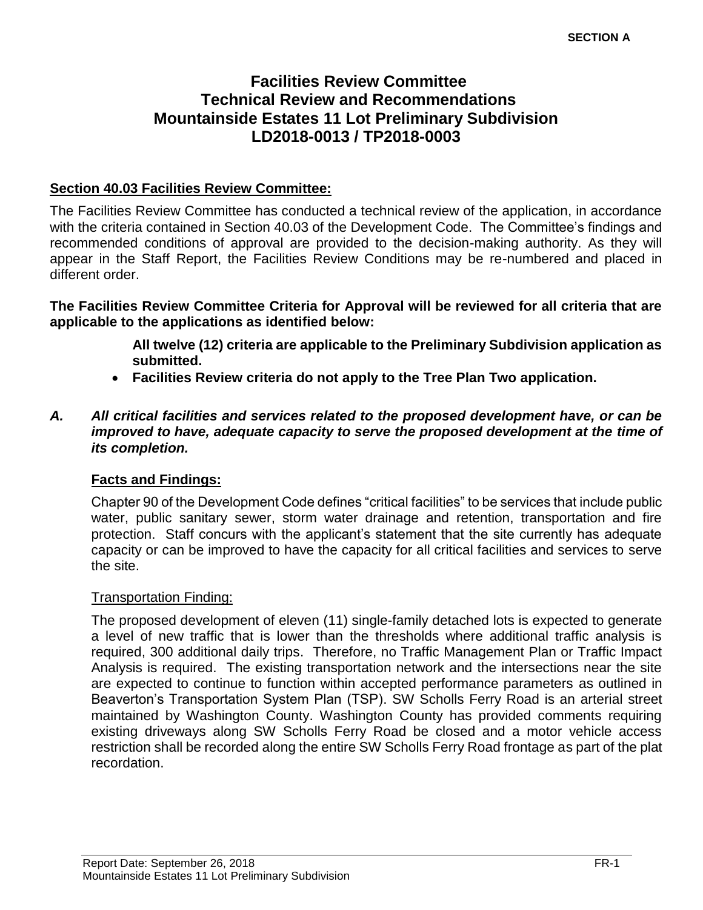# **Facilities Review Committee Technical Review and Recommendations Mountainside Estates 11 Lot Preliminary Subdivision LD2018-0013 / TP2018-0003**

#### **Section 40.03 Facilities Review Committee:**

The Facilities Review Committee has conducted a technical review of the application, in accordance with the criteria contained in Section 40.03 of the Development Code. The Committee's findings and recommended conditions of approval are provided to the decision-making authority. As they will appear in the Staff Report, the Facilities Review Conditions may be re-numbered and placed in different order.

**The Facilities Review Committee Criteria for Approval will be reviewed for all criteria that are applicable to the applications as identified below:**

> **All twelve (12) criteria are applicable to the Preliminary Subdivision application as submitted.**

- **Facilities Review criteria do not apply to the Tree Plan Two application.**
- *A. All critical facilities and services related to the proposed development have, or can be improved to have, adequate capacity to serve the proposed development at the time of its completion.*

#### **Facts and Findings:**

Chapter 90 of the Development Code defines "critical facilities" to be services that include public water, public sanitary sewer, storm water drainage and retention, transportation and fire protection. Staff concurs with the applicant's statement that the site currently has adequate capacity or can be improved to have the capacity for all critical facilities and services to serve the site.

#### Transportation Finding:

The proposed development of eleven (11) single-family detached lots is expected to generate a level of new traffic that is lower than the thresholds where additional traffic analysis is required, 300 additional daily trips. Therefore, no Traffic Management Plan or Traffic Impact Analysis is required. The existing transportation network and the intersections near the site are expected to continue to function within accepted performance parameters as outlined in Beaverton's Transportation System Plan (TSP). SW Scholls Ferry Road is an arterial street maintained by Washington County. Washington County has provided comments requiring existing driveways along SW Scholls Ferry Road be closed and a motor vehicle access restriction shall be recorded along the entire SW Scholls Ferry Road frontage as part of the plat recordation.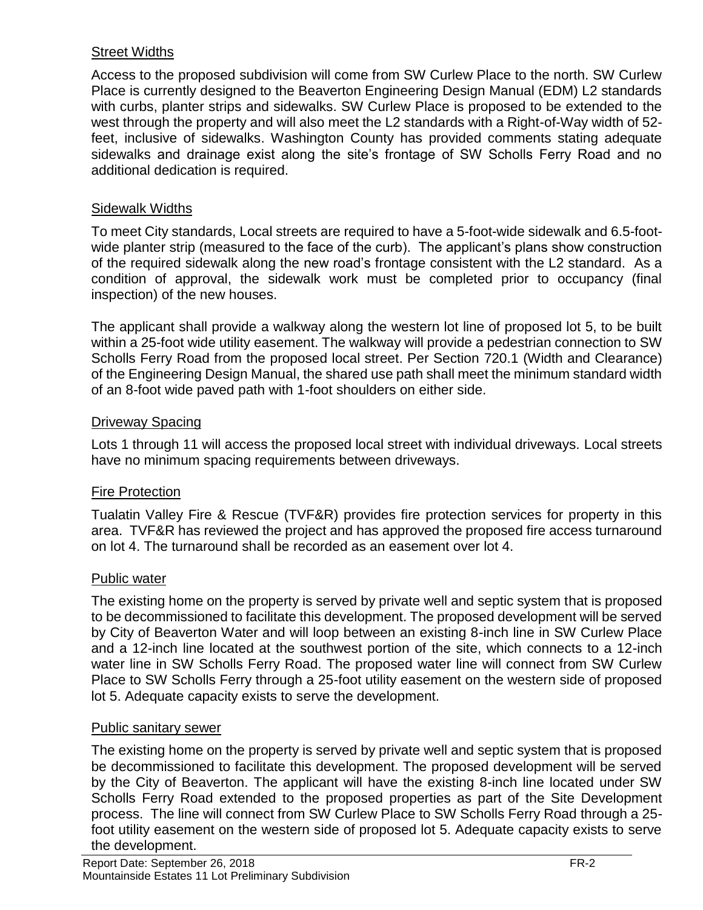## Street Widths

Access to the proposed subdivision will come from SW Curlew Place to the north. SW Curlew Place is currently designed to the Beaverton Engineering Design Manual (EDM) L2 standards with curbs, planter strips and sidewalks. SW Curlew Place is proposed to be extended to the west through the property and will also meet the L2 standards with a Right-of-Way width of 52 feet, inclusive of sidewalks. Washington County has provided comments stating adequate sidewalks and drainage exist along the site's frontage of SW Scholls Ferry Road and no additional dedication is required.

#### Sidewalk Widths

To meet City standards, Local streets are required to have a 5-foot-wide sidewalk and 6.5-footwide planter strip (measured to the face of the curb). The applicant's plans show construction of the required sidewalk along the new road's frontage consistent with the L2 standard. As a condition of approval, the sidewalk work must be completed prior to occupancy (final inspection) of the new houses.

The applicant shall provide a walkway along the western lot line of proposed lot 5, to be built within a 25-foot wide utility easement. The walkway will provide a pedestrian connection to SW Scholls Ferry Road from the proposed local street. Per Section 720.1 (Width and Clearance) of the Engineering Design Manual, the shared use path shall meet the minimum standard width of an 8-foot wide paved path with 1-foot shoulders on either side.

## Driveway Spacing

Lots 1 through 11 will access the proposed local street with individual driveways. Local streets have no minimum spacing requirements between driveways.

# Fire Protection

Tualatin Valley Fire & Rescue (TVF&R) provides fire protection services for property in this area. TVF&R has reviewed the project and has approved the proposed fire access turnaround on lot 4. The turnaround shall be recorded as an easement over lot 4.

#### **Public water**

The existing home on the property is served by private well and septic system that is proposed to be decommissioned to facilitate this development. The proposed development will be served by City of Beaverton Water and will loop between an existing 8-inch line in SW Curlew Place and a 12-inch line located at the southwest portion of the site, which connects to a 12-inch water line in SW Scholls Ferry Road. The proposed water line will connect from SW Curlew Place to SW Scholls Ferry through a 25-foot utility easement on the western side of proposed lot 5. Adequate capacity exists to serve the development.

#### Public sanitary sewer

The existing home on the property is served by private well and septic system that is proposed be decommissioned to facilitate this development. The proposed development will be served by the City of Beaverton. The applicant will have the existing 8-inch line located under SW Scholls Ferry Road extended to the proposed properties as part of the Site Development process. The line will connect from SW Curlew Place to SW Scholls Ferry Road through a 25 foot utility easement on the western side of proposed lot 5. Adequate capacity exists to serve the development.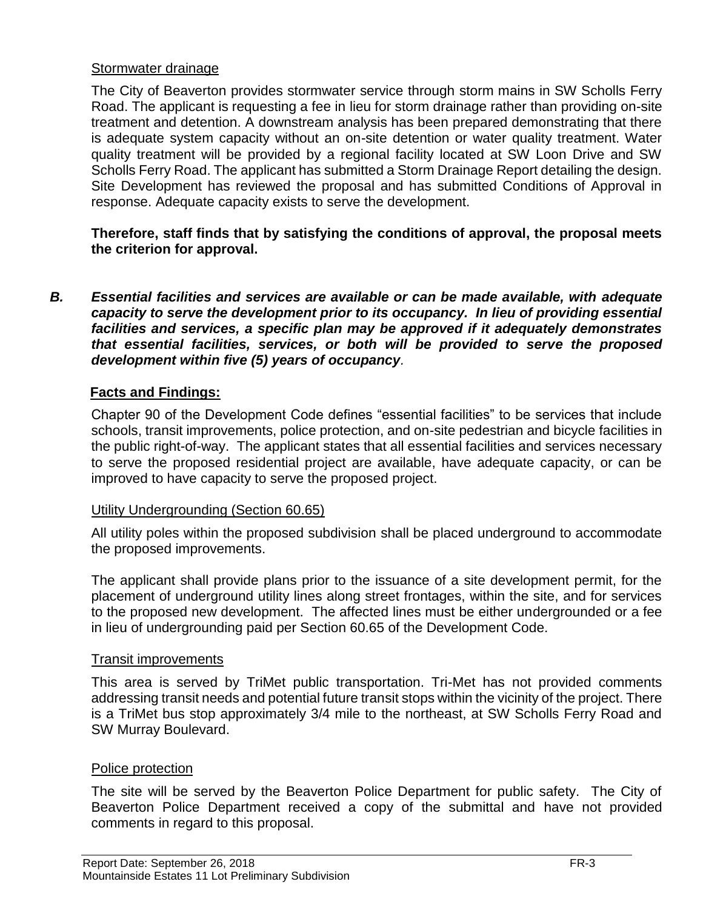#### Stormwater drainage

The City of Beaverton provides stormwater service through storm mains in SW Scholls Ferry Road. The applicant is requesting a fee in lieu for storm drainage rather than providing on-site treatment and detention. A downstream analysis has been prepared demonstrating that there is adequate system capacity without an on-site detention or water quality treatment. Water quality treatment will be provided by a regional facility located at SW Loon Drive and SW Scholls Ferry Road. The applicant has submitted a Storm Drainage Report detailing the design. Site Development has reviewed the proposal and has submitted Conditions of Approval in response. Adequate capacity exists to serve the development.

**Therefore, staff finds that by satisfying the conditions of approval, the proposal meets the criterion for approval.**

*B. Essential facilities and services are available or can be made available, with adequate capacity to serve the development prior to its occupancy. In lieu of providing essential facilities and services, a specific plan may be approved if it adequately demonstrates that essential facilities, services, or both will be provided to serve the proposed development within five (5) years of occupancy.*

#### **Facts and Findings:**

Chapter 90 of the Development Code defines "essential facilities" to be services that include schools, transit improvements, police protection, and on-site pedestrian and bicycle facilities in the public right-of-way. The applicant states that all essential facilities and services necessary to serve the proposed residential project are available, have adequate capacity, or can be improved to have capacity to serve the proposed project.

#### Utility Undergrounding (Section 60.65)

All utility poles within the proposed subdivision shall be placed underground to accommodate the proposed improvements.

The applicant shall provide plans prior to the issuance of a site development permit, for the placement of underground utility lines along street frontages, within the site, and for services to the proposed new development. The affected lines must be either undergrounded or a fee in lieu of undergrounding paid per Section 60.65 of the Development Code.

#### Transit improvements

This area is served by TriMet public transportation. Tri-Met has not provided comments addressing transit needs and potential future transit stops within the vicinity of the project. There is a TriMet bus stop approximately 3/4 mile to the northeast, at SW Scholls Ferry Road and SW Murray Boulevard.

#### Police protection

The site will be served by the Beaverton Police Department for public safety. The City of Beaverton Police Department received a copy of the submittal and have not provided comments in regard to this proposal.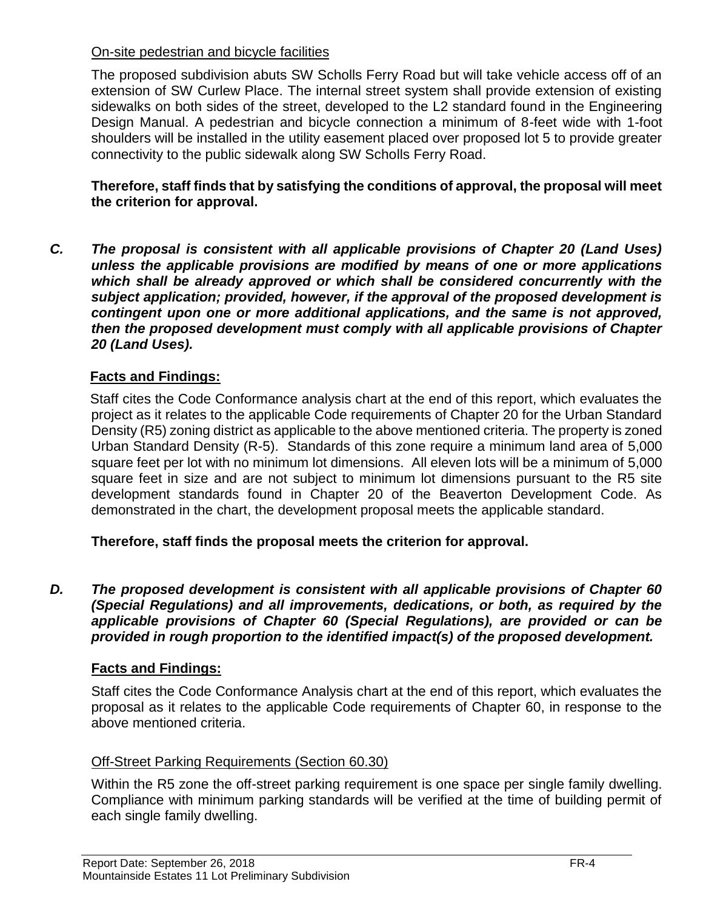#### On-site pedestrian and bicycle facilities

The proposed subdivision abuts SW Scholls Ferry Road but will take vehicle access off of an extension of SW Curlew Place. The internal street system shall provide extension of existing sidewalks on both sides of the street, developed to the L2 standard found in the Engineering Design Manual. A pedestrian and bicycle connection a minimum of 8-feet wide with 1-foot shoulders will be installed in the utility easement placed over proposed lot 5 to provide greater connectivity to the public sidewalk along SW Scholls Ferry Road.

**Therefore, staff finds that by satisfying the conditions of approval, the proposal will meet the criterion for approval.**

*C. The proposal is consistent with all applicable provisions of Chapter 20 (Land Uses) unless the applicable provisions are modified by means of one or more applications which shall be already approved or which shall be considered concurrently with the subject application; provided, however, if the approval of the proposed development is contingent upon one or more additional applications, and the same is not approved, then the proposed development must comply with all applicable provisions of Chapter 20 (Land Uses).*

# **Facts and Findings:**

Staff cites the Code Conformance analysis chart at the end of this report, which evaluates the project as it relates to the applicable Code requirements of Chapter 20 for the Urban Standard Density (R5) zoning district as applicable to the above mentioned criteria. The property is zoned Urban Standard Density (R-5). Standards of this zone require a minimum land area of 5,000 square feet per lot with no minimum lot dimensions. All eleven lots will be a minimum of 5,000 square feet in size and are not subject to minimum lot dimensions pursuant to the R5 site development standards found in Chapter 20 of the Beaverton Development Code. As demonstrated in the chart, the development proposal meets the applicable standard.

**Therefore, staff finds the proposal meets the criterion for approval.**

*D. The proposed development is consistent with all applicable provisions of Chapter 60 (Special Regulations) and all improvements, dedications, or both, as required by the applicable provisions of Chapter 60 (Special Regulations), are provided or can be provided in rough proportion to the identified impact(s) of the proposed development.*

# **Facts and Findings:**

Staff cites the Code Conformance Analysis chart at the end of this report, which evaluates the proposal as it relates to the applicable Code requirements of Chapter 60, in response to the above mentioned criteria.

# Off-Street Parking Requirements (Section 60.30)

Within the R5 zone the off-street parking requirement is one space per single family dwelling. Compliance with minimum parking standards will be verified at the time of building permit of each single family dwelling.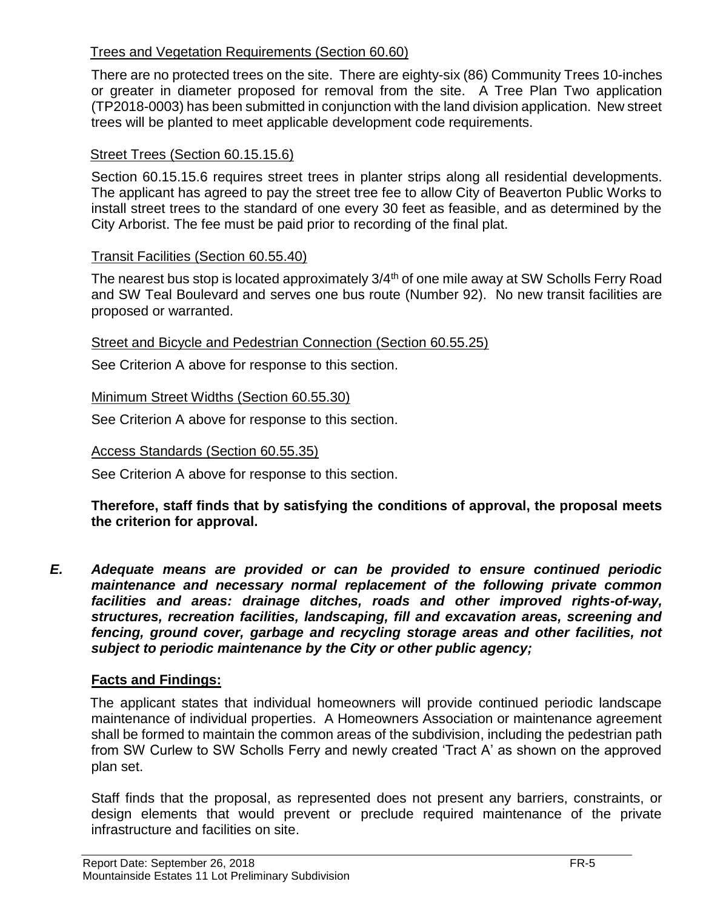#### Trees and Vegetation Requirements (Section 60.60)

There are no protected trees on the site. There are eighty-six (86) Community Trees 10-inches or greater in diameter proposed for removal from the site. A Tree Plan Two application (TP2018-0003) has been submitted in conjunction with the land division application. New street trees will be planted to meet applicable development code requirements.

#### Street Trees (Section 60.15.15.6)

Section 60.15.15.6 requires street trees in planter strips along all residential developments. The applicant has agreed to pay the street tree fee to allow City of Beaverton Public Works to install street trees to the standard of one every 30 feet as feasible, and as determined by the City Arborist. The fee must be paid prior to recording of the final plat.

#### Transit Facilities (Section 60.55.40)

The nearest bus stop is located approximately 3/4<sup>th</sup> of one mile away at SW Scholls Ferry Road and SW Teal Boulevard and serves one bus route (Number 92). No new transit facilities are proposed or warranted.

#### Street and Bicycle and Pedestrian Connection (Section 60.55.25)

See Criterion A above for response to this section.

#### Minimum Street Widths (Section 60.55.30)

See Criterion A above for response to this section.

#### Access Standards (Section 60.55.35)

See Criterion A above for response to this section.

#### **Therefore, staff finds that by satisfying the conditions of approval, the proposal meets the criterion for approval.**

*E. Adequate means are provided or can be provided to ensure continued periodic maintenance and necessary normal replacement of the following private common facilities and areas: drainage ditches, roads and other improved rights-of-way, structures, recreation facilities, landscaping, fill and excavation areas, screening and fencing, ground cover, garbage and recycling storage areas and other facilities, not subject to periodic maintenance by the City or other public agency;*

#### **Facts and Findings:**

The applicant states that individual homeowners will provide continued periodic landscape maintenance of individual properties. A Homeowners Association or maintenance agreement shall be formed to maintain the common areas of the subdivision, including the pedestrian path from SW Curlew to SW Scholls Ferry and newly created 'Tract A' as shown on the approved plan set.

Staff finds that the proposal, as represented does not present any barriers, constraints, or design elements that would prevent or preclude required maintenance of the private infrastructure and facilities on site.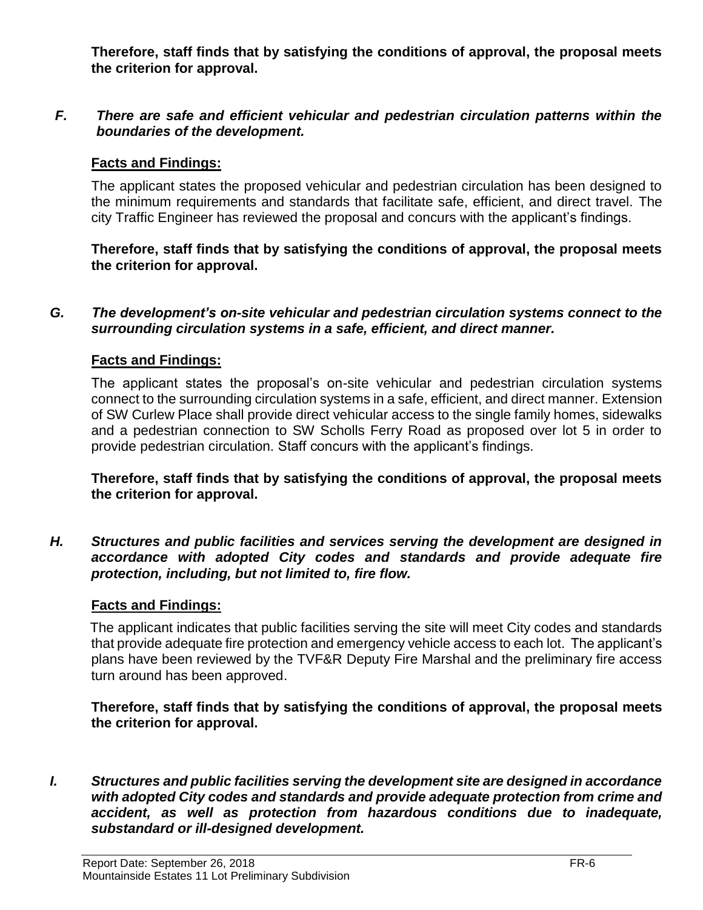**Therefore, staff finds that by satisfying the conditions of approval, the proposal meets the criterion for approval.**

#### *F. There are safe and efficient vehicular and pedestrian circulation patterns within the boundaries of the development.*

#### **Facts and Findings:**

The applicant states the proposed vehicular and pedestrian circulation has been designed to the minimum requirements and standards that facilitate safe, efficient, and direct travel. The city Traffic Engineer has reviewed the proposal and concurs with the applicant's findings.

**Therefore, staff finds that by satisfying the conditions of approval, the proposal meets the criterion for approval.**

#### *G. The development's on-site vehicular and pedestrian circulation systems connect to the surrounding circulation systems in a safe, efficient, and direct manner.*

#### **Facts and Findings:**

The applicant states the proposal's on-site vehicular and pedestrian circulation systems connect to the surrounding circulation systems in a safe, efficient, and direct manner. Extension of SW Curlew Place shall provide direct vehicular access to the single family homes, sidewalks and a pedestrian connection to SW Scholls Ferry Road as proposed over lot 5 in order to provide pedestrian circulation. Staff concurs with the applicant's findings.

**Therefore, staff finds that by satisfying the conditions of approval, the proposal meets the criterion for approval.**

*H. Structures and public facilities and services serving the development are designed in accordance with adopted City codes and standards and provide adequate fire protection, including, but not limited to, fire flow.*

#### **Facts and Findings:**

The applicant indicates that public facilities serving the site will meet City codes and standards that provide adequate fire protection and emergency vehicle access to each lot. The applicant's plans have been reviewed by the TVF&R Deputy Fire Marshal and the preliminary fire access turn around has been approved.

**Therefore, staff finds that by satisfying the conditions of approval, the proposal meets the criterion for approval.**

*I. Structures and public facilities serving the development site are designed in accordance with adopted City codes and standards and provide adequate protection from crime and accident, as well as protection from hazardous conditions due to inadequate, substandard or ill-designed development.*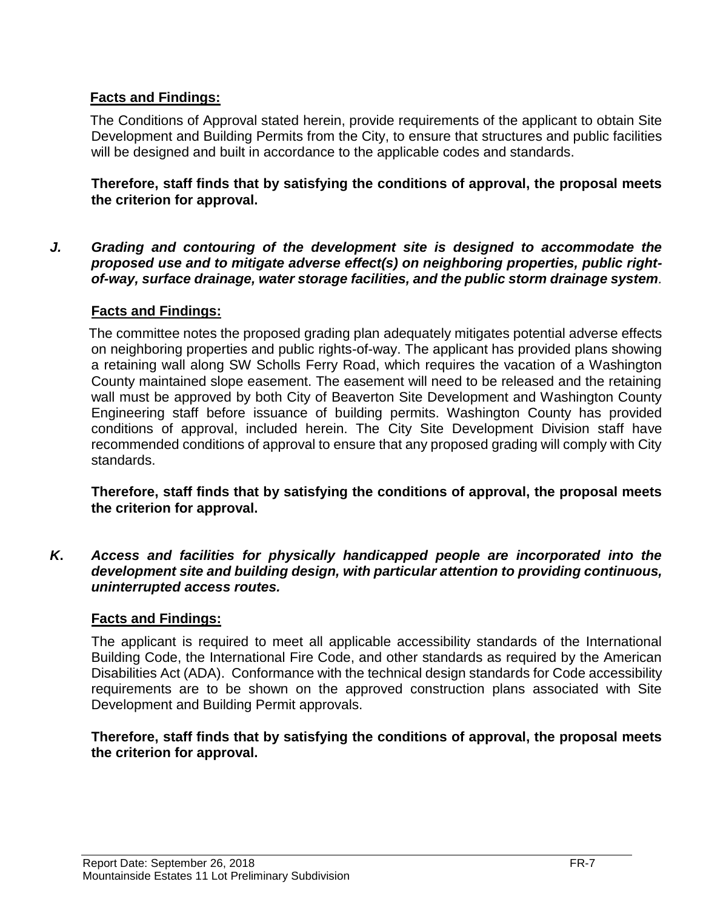# **Facts and Findings:**

The Conditions of Approval stated herein, provide requirements of the applicant to obtain Site Development and Building Permits from the City, to ensure that structures and public facilities will be designed and built in accordance to the applicable codes and standards.

**Therefore, staff finds that by satisfying the conditions of approval, the proposal meets the criterion for approval.**

*J. Grading and contouring of the development site is designed to accommodate the proposed use and to mitigate adverse effect(s) on neighboring properties, public rightof-way, surface drainage, water storage facilities, and the public storm drainage system.*

#### **Facts and Findings:**

The committee notes the proposed grading plan adequately mitigates potential adverse effects on neighboring properties and public rights-of-way. The applicant has provided plans showing a retaining wall along SW Scholls Ferry Road, which requires the vacation of a Washington County maintained slope easement. The easement will need to be released and the retaining wall must be approved by both City of Beaverton Site Development and Washington County Engineering staff before issuance of building permits. Washington County has provided conditions of approval, included herein. The City Site Development Division staff have recommended conditions of approval to ensure that any proposed grading will comply with City standards.

**Therefore, staff finds that by satisfying the conditions of approval, the proposal meets the criterion for approval.**

*K***.** *Access and facilities for physically handicapped people are incorporated into the development site and building design, with particular attention to providing continuous, uninterrupted access routes.*

# **Facts and Findings:**

The applicant is required to meet all applicable accessibility standards of the International Building Code, the International Fire Code, and other standards as required by the American Disabilities Act (ADA). Conformance with the technical design standards for Code accessibility requirements are to be shown on the approved construction plans associated with Site Development and Building Permit approvals.

#### **Therefore, staff finds that by satisfying the conditions of approval, the proposal meets the criterion for approval.**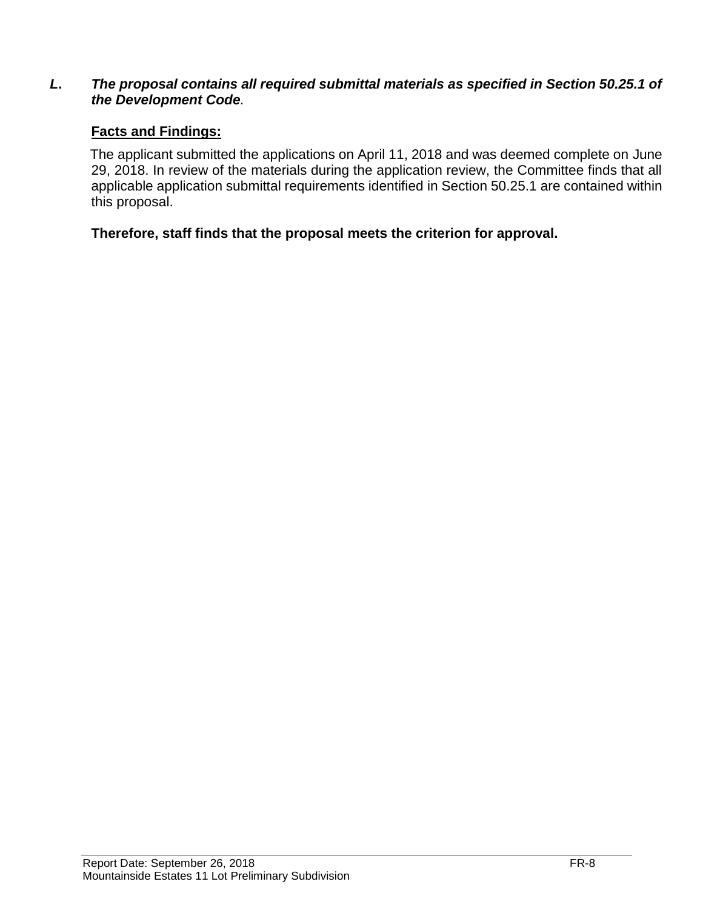#### *L***.** *The proposal contains all required submittal materials as specified in Section 50.25.1 of the Development Code.*

#### **Facts and Findings:**

The applicant submitted the applications on April 11, 2018 and was deemed complete on June 29, 2018. In review of the materials during the application review, the Committee finds that all applicable application submittal requirements identified in Section 50.25.1 are contained within this proposal.

**Therefore, staff finds that the proposal meets the criterion for approval.**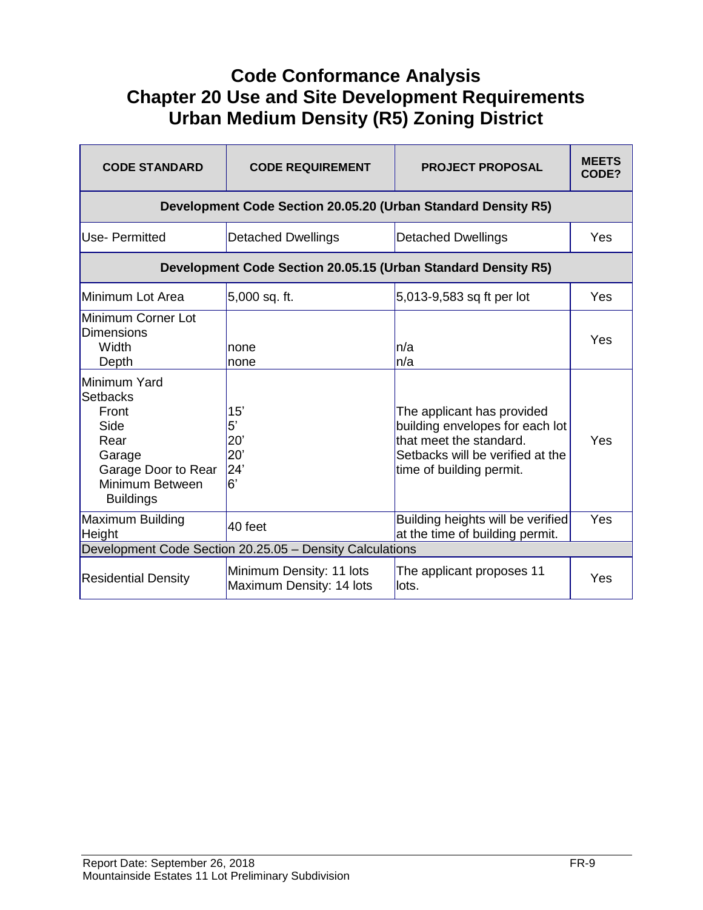# **Code Conformance Analysis Chapter 20 Use and Site Development Requirements Urban Medium Density (R5) Zoning District**

| <b>CODE STANDARD</b>                                                                                                             | <b>CODE REQUIREMENT</b>                                       | <b>PROJECT PROPOSAL</b>                                                                                                                                  | <b>MEETS</b><br>CODE? |  |
|----------------------------------------------------------------------------------------------------------------------------------|---------------------------------------------------------------|----------------------------------------------------------------------------------------------------------------------------------------------------------|-----------------------|--|
| Development Code Section 20.05.20 (Urban Standard Density R5)                                                                    |                                                               |                                                                                                                                                          |                       |  |
| <b>Use-Permitted</b>                                                                                                             | <b>Detached Dwellings</b>                                     | <b>Detached Dwellings</b>                                                                                                                                | Yes                   |  |
|                                                                                                                                  | Development Code Section 20.05.15 (Urban Standard Density R5) |                                                                                                                                                          |                       |  |
| Minimum Lot Area                                                                                                                 | 5,000 sq. ft.                                                 | 5,013-9,583 sq ft per lot                                                                                                                                | Yes                   |  |
| Minimum Corner Lot<br><b>Dimensions</b><br>Width<br>Depth                                                                        | none<br>none                                                  | n/a<br>n/a                                                                                                                                               | Yes                   |  |
| Minimum Yard<br><b>Setbacks</b><br>Front<br>Side<br>Rear<br>Garage<br>Garage Door to Rear<br>Minimum Between<br><b>Buildings</b> | 15'<br>5'<br>20'<br>20'<br>24'<br>6'                          | The applicant has provided<br>building envelopes for each lot<br>that meet the standard.<br>Setbacks will be verified at the<br>time of building permit. | Yes                   |  |
| Maximum Building<br>Height                                                                                                       | 40 feet                                                       | Building heights will be verified<br>at the time of building permit.                                                                                     | Yes                   |  |
| Development Code Section 20.25.05 - Density Calculations                                                                         |                                                               |                                                                                                                                                          |                       |  |
| <b>Residential Density</b>                                                                                                       | Minimum Density: 11 lots<br>Maximum Density: 14 lots          | The applicant proposes 11<br>llots.                                                                                                                      | Yes                   |  |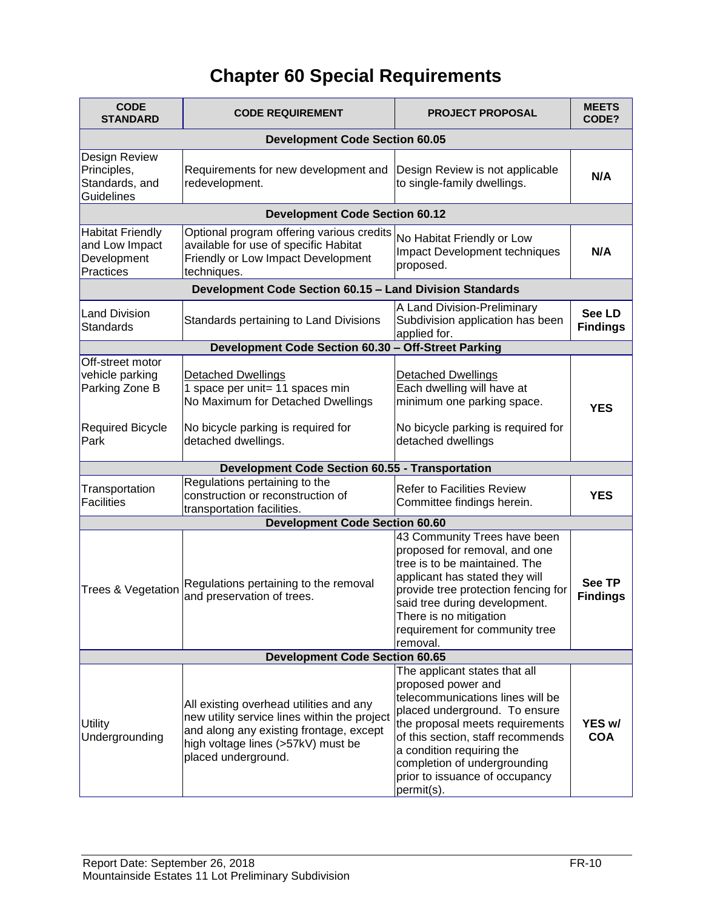# **Chapter 60 Special Requirements**

| <b>CODE</b><br><b>STANDARD</b>                                                           | <b>CODE REQUIREMENT</b>                                                                                                                                                                         | <b>PROJECT PROPOSAL</b>                                                                                                                                                                                                                                                                                       | <b>MEETS</b><br>CODE?            |  |
|------------------------------------------------------------------------------------------|-------------------------------------------------------------------------------------------------------------------------------------------------------------------------------------------------|---------------------------------------------------------------------------------------------------------------------------------------------------------------------------------------------------------------------------------------------------------------------------------------------------------------|----------------------------------|--|
| <b>Development Code Section 60.05</b>                                                    |                                                                                                                                                                                                 |                                                                                                                                                                                                                                                                                                               |                                  |  |
| Design Review<br>Principles,<br>Standards, and<br><b>Guidelines</b>                      | Requirements for new development and<br>redevelopment.                                                                                                                                          | Design Review is not applicable<br>to single-family dwellings.                                                                                                                                                                                                                                                | N/A                              |  |
|                                                                                          | <b>Development Code Section 60.12</b>                                                                                                                                                           |                                                                                                                                                                                                                                                                                                               |                                  |  |
| <b>Habitat Friendly</b><br>and Low Impact<br>Development<br>Practices                    | Optional program offering various credits<br>available for use of specific Habitat<br>Friendly or Low Impact Development<br>techniques.                                                         | No Habitat Friendly or Low<br>Impact Development techniques<br>proposed.                                                                                                                                                                                                                                      | N/A                              |  |
|                                                                                          | Development Code Section 60.15 - Land Division Standards                                                                                                                                        |                                                                                                                                                                                                                                                                                                               |                                  |  |
| <b>Land Division</b><br><b>Standards</b>                                                 | Standards pertaining to Land Divisions                                                                                                                                                          | A Land Division-Preliminary<br>Subdivision application has been<br>applied for.                                                                                                                                                                                                                               | See LD<br><b>Findings</b>        |  |
|                                                                                          | Development Code Section 60.30 - Off-Street Parking                                                                                                                                             |                                                                                                                                                                                                                                                                                                               |                                  |  |
| Off-street motor<br>vehicle parking<br>Parking Zone B<br><b>Required Bicycle</b><br>Park | <b>Detached Dwellings</b><br>1 space per unit= 11 spaces min<br>No Maximum for Detached Dwellings<br>No bicycle parking is required for<br>detached dwellings.                                  | <b>Detached Dwellings</b><br>Each dwelling will have at<br>minimum one parking space.<br>No bicycle parking is required for<br>detached dwellings                                                                                                                                                             | <b>YES</b>                       |  |
|                                                                                          | <b>Development Code Section 60.55 - Transportation</b>                                                                                                                                          |                                                                                                                                                                                                                                                                                                               |                                  |  |
|                                                                                          | Regulations pertaining to the                                                                                                                                                                   |                                                                                                                                                                                                                                                                                                               |                                  |  |
| Transportation<br><b>Facilities</b>                                                      | construction or reconstruction of<br>transportation facilities.                                                                                                                                 | <b>Refer to Facilities Review</b><br>Committee findings herein.                                                                                                                                                                                                                                               | <b>YES</b>                       |  |
| <b>Development Code Section 60.60</b>                                                    |                                                                                                                                                                                                 |                                                                                                                                                                                                                                                                                                               |                                  |  |
| Trees & Vegetation                                                                       | Regulations pertaining to the removal<br>and preservation of trees.                                                                                                                             | 43 Community Trees have been<br>proposed for removal, and one<br>tree is to be maintained. The<br>applicant has stated they will<br>provide tree protection fencing for<br>said tree during development.<br>There is no mitigation<br>requirement for community tree<br>removal.                              | <b>See TP</b><br><b>Findings</b> |  |
| <b>Development Code Section 60.65</b>                                                    |                                                                                                                                                                                                 |                                                                                                                                                                                                                                                                                                               |                                  |  |
| <b>Utility</b><br>Undergrounding                                                         | All existing overhead utilities and any<br>new utility service lines within the project<br>and along any existing frontage, except<br>high voltage lines (>57kV) must be<br>placed underground. | The applicant states that all<br>proposed power and<br>telecommunications lines will be<br>placed underground. To ensure<br>the proposal meets requirements<br>of this section, staff recommends<br>a condition requiring the<br>completion of undergrounding<br>prior to issuance of occupancy<br>permit(s). | YES w/<br><b>COA</b>             |  |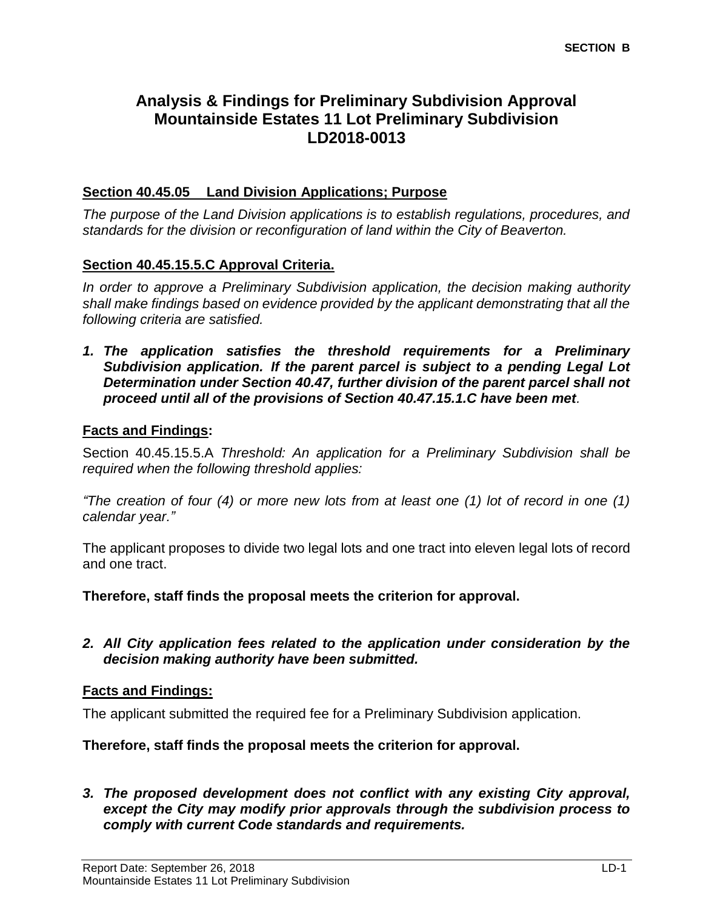# **Analysis & Findings for Preliminary Subdivision Approval Mountainside Estates 11 Lot Preliminary Subdivision LD2018-0013**

#### **Section 40.45.05 Land Division Applications; Purpose**

*The purpose of the Land Division applications is to establish regulations, procedures, and standards for the division or reconfiguration of land within the City of Beaverton.* 

#### **Section 40.45.15.5.C Approval Criteria.**

*In order to approve a Preliminary Subdivision application, the decision making authority shall make findings based on evidence provided by the applicant demonstrating that all the following criteria are satisfied.*

*1. The application satisfies the threshold requirements for a Preliminary Subdivision application. If the parent parcel is subject to a pending Legal Lot Determination under Section 40.47, further division of the parent parcel shall not proceed until all of the provisions of Section 40.47.15.1.C have been met.*

#### **Facts and Findings:**

Section 40.45.15.5.A *Threshold: An application for a Preliminary Subdivision shall be required when the following threshold applies:*

*"The creation of four (4) or more new lots from at least one (1) lot of record in one (1) calendar year."*

The applicant proposes to divide two legal lots and one tract into eleven legal lots of record and one tract.

**Therefore, staff finds the proposal meets the criterion for approval.**

*2. All City application fees related to the application under consideration by the decision making authority have been submitted.*

#### **Facts and Findings:**

The applicant submitted the required fee for a Preliminary Subdivision application.

**Therefore, staff finds the proposal meets the criterion for approval.**

#### *3. The proposed development does not conflict with any existing City approval, except the City may modify prior approvals through the subdivision process to comply with current Code standards and requirements.*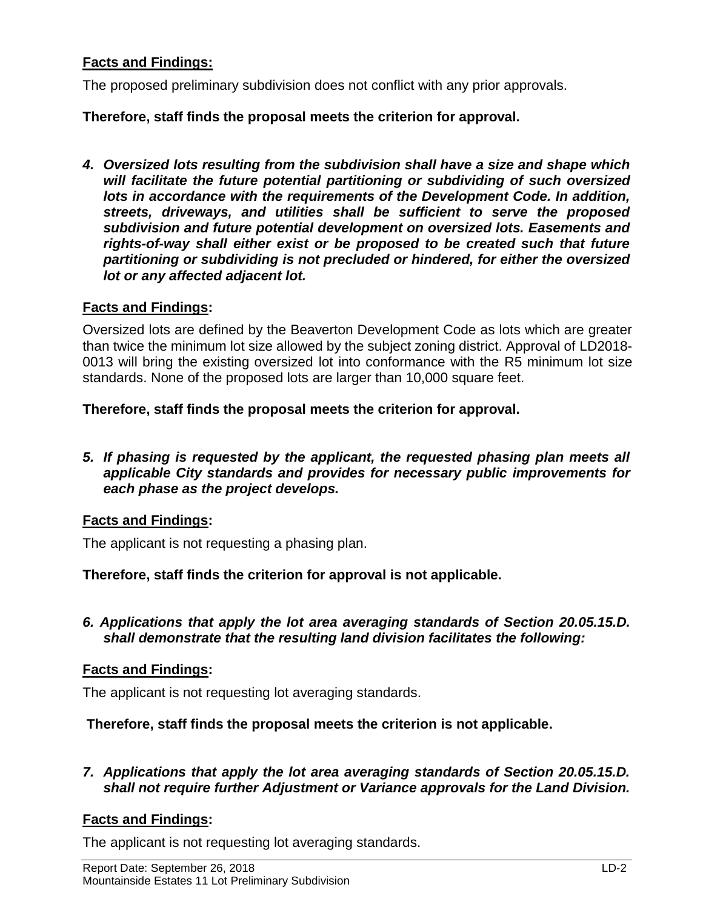#### **Facts and Findings:**

The proposed preliminary subdivision does not conflict with any prior approvals.

#### **Therefore, staff finds the proposal meets the criterion for approval.**

*4. Oversized lots resulting from the subdivision shall have a size and shape which will facilitate the future potential partitioning or subdividing of such oversized lots in accordance with the requirements of the Development Code. In addition, streets, driveways, and utilities shall be sufficient to serve the proposed subdivision and future potential development on oversized lots. Easements and rights-of-way shall either exist or be proposed to be created such that future partitioning or subdividing is not precluded or hindered, for either the oversized lot or any affected adjacent lot.*

#### **Facts and Findings:**

Oversized lots are defined by the Beaverton Development Code as lots which are greater than twice the minimum lot size allowed by the subject zoning district. Approval of LD2018- 0013 will bring the existing oversized lot into conformance with the R5 minimum lot size standards. None of the proposed lots are larger than 10,000 square feet.

#### **Therefore, staff finds the proposal meets the criterion for approval.**

*5. If phasing is requested by the applicant, the requested phasing plan meets all applicable City standards and provides for necessary public improvements for each phase as the project develops.*

#### **Facts and Findings:**

The applicant is not requesting a phasing plan.

**Therefore, staff finds the criterion for approval is not applicable.**

*6. Applications that apply the lot area averaging standards of Section 20.05.15.D. shall demonstrate that the resulting land division facilitates the following:*

#### **Facts and Findings:**

The applicant is not requesting lot averaging standards.

#### **Therefore, staff finds the proposal meets the criterion is not applicable.**

*7. Applications that apply the lot area averaging standards of Section 20.05.15.D. shall not require further Adjustment or Variance approvals for the Land Division.*

#### **Facts and Findings:**

The applicant is not requesting lot averaging standards.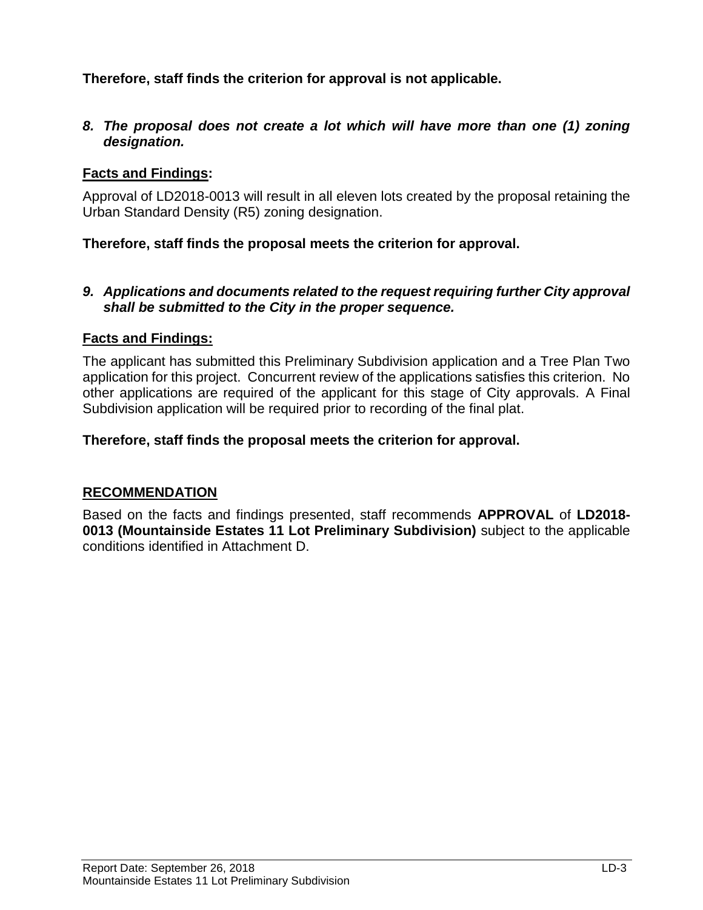**Therefore, staff finds the criterion for approval is not applicable.**

*8. The proposal does not create a lot which will have more than one (1) zoning designation.*

## **Facts and Findings:**

Approval of LD2018-0013 will result in all eleven lots created by the proposal retaining the Urban Standard Density (R5) zoning designation.

## **Therefore, staff finds the proposal meets the criterion for approval.**

#### *9. Applications and documents related to the request requiring further City approval shall be submitted to the City in the proper sequence.*

#### **Facts and Findings:**

The applicant has submitted this Preliminary Subdivision application and a Tree Plan Two application for this project. Concurrent review of the applications satisfies this criterion. No other applications are required of the applicant for this stage of City approvals. A Final Subdivision application will be required prior to recording of the final plat.

#### **Therefore, staff finds the proposal meets the criterion for approval.**

#### **RECOMMENDATION**

Based on the facts and findings presented, staff recommends **APPROVAL** of **LD2018- 0013 (Mountainside Estates 11 Lot Preliminary Subdivision)** subject to the applicable conditions identified in Attachment D.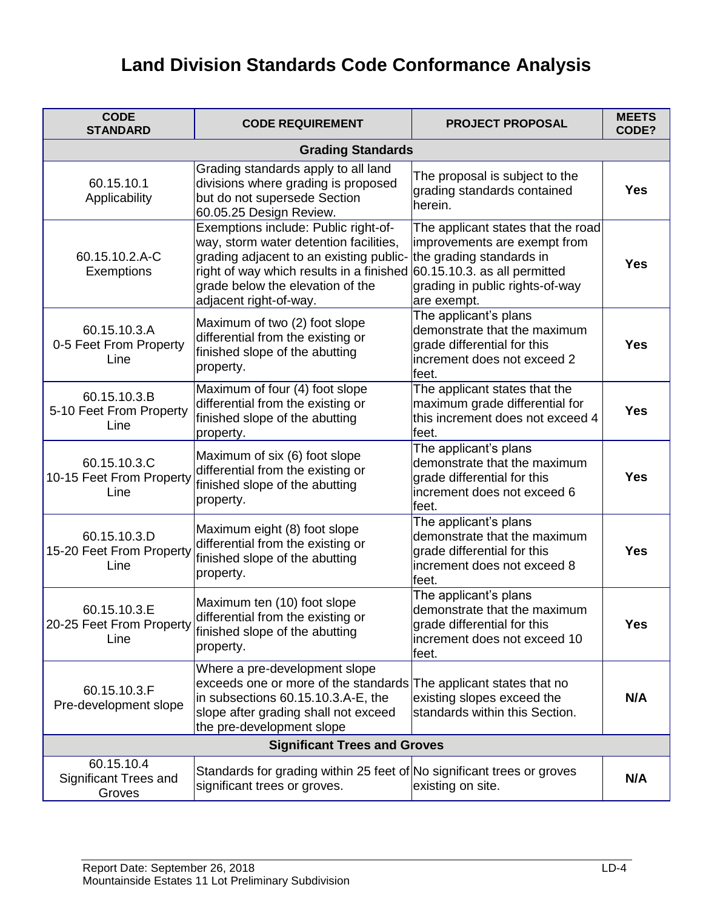# **Land Division Standards Code Conformance Analysis**

| <b>CODE</b><br><b>STANDARD</b>                       | <b>CODE REQUIREMENT</b>                                                                                                                                                                                                                                                                   | <b>PROJECT PROPOSAL</b>                                                                                                       | <b>MEETS</b><br>CODE? |
|------------------------------------------------------|-------------------------------------------------------------------------------------------------------------------------------------------------------------------------------------------------------------------------------------------------------------------------------------------|-------------------------------------------------------------------------------------------------------------------------------|-----------------------|
|                                                      | <b>Grading Standards</b>                                                                                                                                                                                                                                                                  |                                                                                                                               |                       |
| 60.15.10.1<br>Applicability                          | Grading standards apply to all land<br>divisions where grading is proposed<br>but do not supersede Section<br>60.05.25 Design Review.                                                                                                                                                     | The proposal is subject to the<br>grading standards contained<br>herein.                                                      | <b>Yes</b>            |
| 60.15.10.2.A-C<br>Exemptions                         | Exemptions include: Public right-of-<br>way, storm water detention facilities,<br>grading adjacent to an existing public- the grading standards in<br>right of way which results in a finished 60.15.10.3. as all permitted<br>grade below the elevation of the<br>adjacent right-of-way. | The applicant states that the road<br>improvements are exempt from<br>grading in public rights-of-way<br>are exempt.          | <b>Yes</b>            |
| 60.15.10.3.A<br>0-5 Feet From Property<br>Line       | Maximum of two (2) foot slope<br>differential from the existing or<br>finished slope of the abutting<br>property.                                                                                                                                                                         | The applicant's plans<br>demonstrate that the maximum<br>grade differential for this<br>increment does not exceed 2<br>feet.  | <b>Yes</b>            |
| 60.15.10.3.B<br>5-10 Feet From Property<br>Line      | Maximum of four (4) foot slope<br>differential from the existing or<br>finished slope of the abutting<br>property.                                                                                                                                                                        | The applicant states that the<br>maximum grade differential for<br>this increment does not exceed 4<br>feet.                  | <b>Yes</b>            |
| 60.15.10.3.C<br>10-15 Feet From Property<br>Line     | Maximum of six (6) foot slope<br>differential from the existing or<br>finished slope of the abutting<br>property.                                                                                                                                                                         | The applicant's plans<br>demonstrate that the maximum<br>grade differential for this<br>increment does not exceed 6<br>feet.  | <b>Yes</b>            |
| 60.15.10.3.D<br>15-20 Feet From Property<br>Line     | Maximum eight (8) foot slope<br>differential from the existing or<br>finished slope of the abutting<br>property.                                                                                                                                                                          | The applicant's plans<br>demonstrate that the maximum<br>grade differential for this<br>increment does not exceed 8<br>feet.  | <b>Yes</b>            |
| 60.15.10.3.E<br>20-25 Feet From Property<br>Line     | Maximum ten (10) foot slope<br>differential from the existing or<br>finished slope of the abutting<br>property.                                                                                                                                                                           | The applicant's plans<br>demonstrate that the maximum<br>grade differential for this<br>increment does not exceed 10<br>feet. | <b>Yes</b>            |
| 60.15.10.3.F<br>Pre-development slope                | Where a pre-development slope<br>exceeds one or more of the standards The applicant states that no<br>in subsections 60.15.10.3.A-E, the<br>slope after grading shall not exceed<br>the pre-development slope                                                                             | existing slopes exceed the<br>standards within this Section.                                                                  | N/A                   |
| <b>Significant Trees and Groves</b>                  |                                                                                                                                                                                                                                                                                           |                                                                                                                               |                       |
| 60.15.10.4<br><b>Significant Trees and</b><br>Groves | Standards for grading within 25 feet of No significant trees or groves<br>significant trees or groves.                                                                                                                                                                                    | existing on site.                                                                                                             | N/A                   |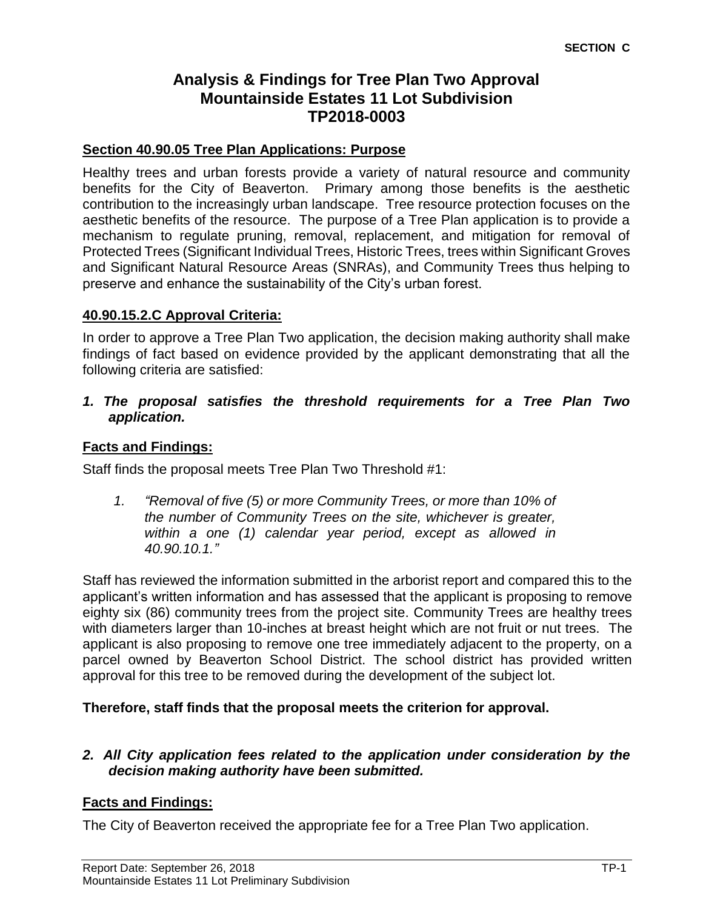# **Analysis & Findings for Tree Plan Two Approval Mountainside Estates 11 Lot Subdivision TP2018-0003**

#### **Section 40.90.05 Tree Plan Applications: Purpose**

Healthy trees and urban forests provide a variety of natural resource and community benefits for the City of Beaverton. Primary among those benefits is the aesthetic contribution to the increasingly urban landscape. Tree resource protection focuses on the aesthetic benefits of the resource. The purpose of a Tree Plan application is to provide a mechanism to regulate pruning, removal, replacement, and mitigation for removal of Protected Trees (Significant Individual Trees, Historic Trees, trees within Significant Groves and Significant Natural Resource Areas (SNRAs), and Community Trees thus helping to preserve and enhance the sustainability of the City's urban forest.

#### **40.90.15.2.C Approval Criteria:**

In order to approve a Tree Plan Two application, the decision making authority shall make findings of fact based on evidence provided by the applicant demonstrating that all the following criteria are satisfied:

*1. The proposal satisfies the threshold requirements for a Tree Plan Two application.*

#### **Facts and Findings:**

Staff finds the proposal meets Tree Plan Two Threshold #1:

*1. "Removal of five (5) or more Community Trees, or more than 10% of the number of Community Trees on the site, whichever is greater, within a one (1) calendar year period, except as allowed in 40.90.10.1."* 

Staff has reviewed the information submitted in the arborist report and compared this to the applicant's written information and has assessed that the applicant is proposing to remove eighty six (86) community trees from the project site. Community Trees are healthy trees with diameters larger than 10-inches at breast height which are not fruit or nut trees. The applicant is also proposing to remove one tree immediately adjacent to the property, on a parcel owned by Beaverton School District. The school district has provided written approval for this tree to be removed during the development of the subject lot.

#### **Therefore, staff finds that the proposal meets the criterion for approval.**

#### *2. All City application fees related to the application under consideration by the decision making authority have been submitted.*

#### **Facts and Findings:**

The City of Beaverton received the appropriate fee for a Tree Plan Two application.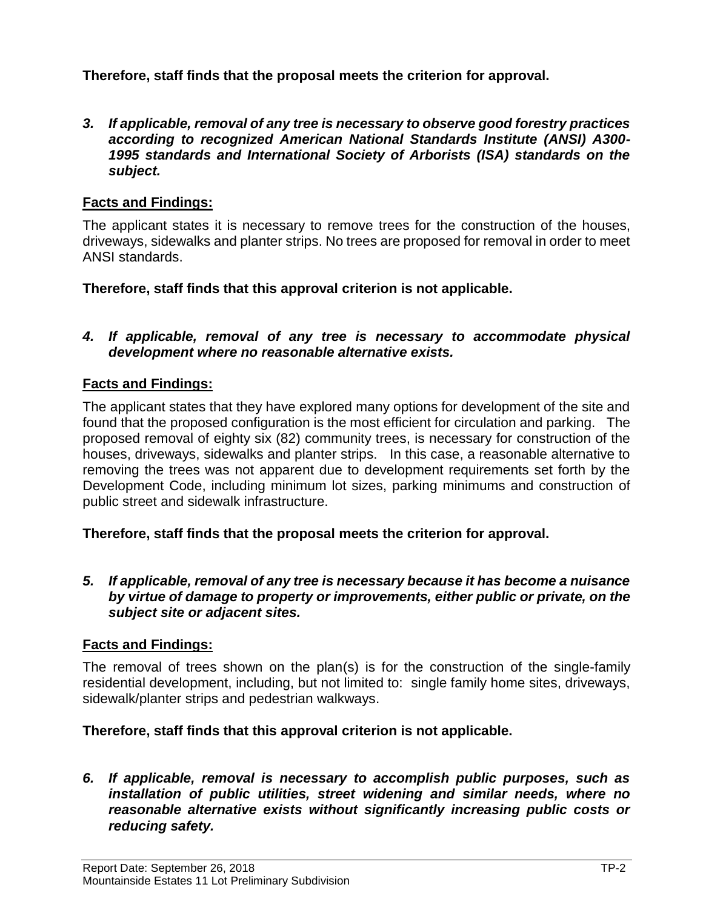**Therefore, staff finds that the proposal meets the criterion for approval.**

*3. If applicable, removal of any tree is necessary to observe good forestry practices according to recognized American National Standards Institute (ANSI) A300- 1995 standards and International Society of Arborists (ISA) standards on the subject.*

#### **Facts and Findings:**

The applicant states it is necessary to remove trees for the construction of the houses, driveways, sidewalks and planter strips. No trees are proposed for removal in order to meet ANSI standards.

**Therefore, staff finds that this approval criterion is not applicable.**

#### *4. If applicable, removal of any tree is necessary to accommodate physical development where no reasonable alternative exists.*

# **Facts and Findings:**

The applicant states that they have explored many options for development of the site and found that the proposed configuration is the most efficient for circulation and parking. The proposed removal of eighty six (82) community trees, is necessary for construction of the houses, driveways, sidewalks and planter strips. In this case, a reasonable alternative to removing the trees was not apparent due to development requirements set forth by the Development Code, including minimum lot sizes, parking minimums and construction of public street and sidewalk infrastructure.

**Therefore, staff finds that the proposal meets the criterion for approval.**

*5. If applicable, removal of any tree is necessary because it has become a nuisance by virtue of damage to property or improvements, either public or private, on the subject site or adjacent sites.*

#### **Facts and Findings:**

The removal of trees shown on the plan(s) is for the construction of the single-family residential development, including, but not limited to: single family home sites, driveways, sidewalk/planter strips and pedestrian walkways.

#### **Therefore, staff finds that this approval criterion is not applicable.**

*6. If applicable, removal is necessary to accomplish public purposes, such as installation of public utilities, street widening and similar needs, where no reasonable alternative exists without significantly increasing public costs or reducing safety.*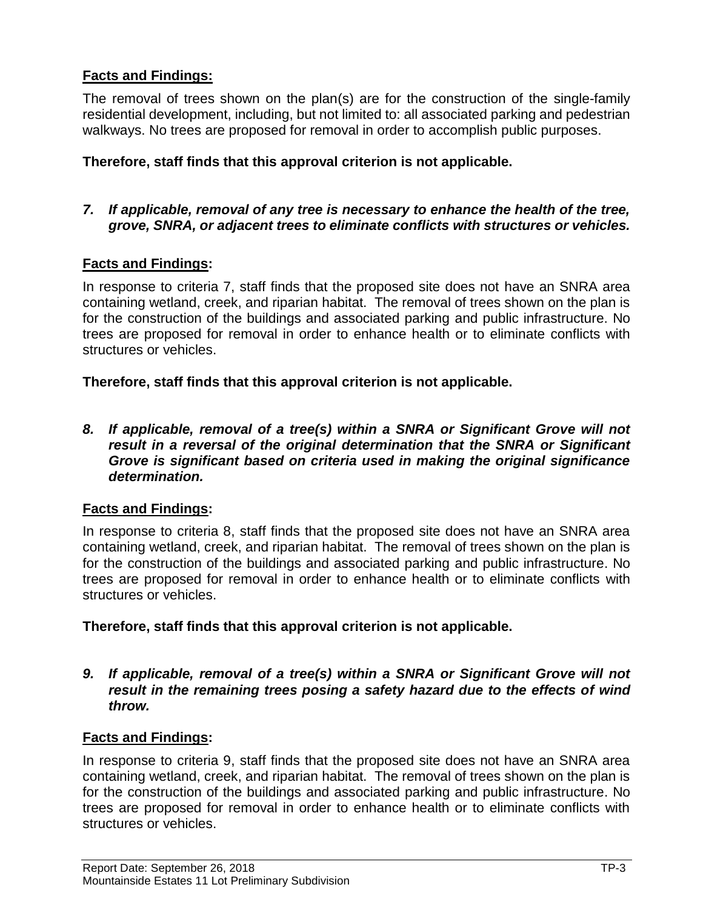# **Facts and Findings:**

The removal of trees shown on the plan(s) are for the construction of the single-family residential development, including, but not limited to: all associated parking and pedestrian walkways. No trees are proposed for removal in order to accomplish public purposes.

#### **Therefore, staff finds that this approval criterion is not applicable.**

#### *7. If applicable, removal of any tree is necessary to enhance the health of the tree, grove, SNRA, or adjacent trees to eliminate conflicts with structures or vehicles.*

## **Facts and Findings:**

In response to criteria 7, staff finds that the proposed site does not have an SNRA area containing wetland, creek, and riparian habitat. The removal of trees shown on the plan is for the construction of the buildings and associated parking and public infrastructure. No trees are proposed for removal in order to enhance health or to eliminate conflicts with structures or vehicles.

**Therefore, staff finds that this approval criterion is not applicable.**

*8. If applicable, removal of a tree(s) within a SNRA or Significant Grove will not result in a reversal of the original determination that the SNRA or Significant Grove is significant based on criteria used in making the original significance determination.*

#### **Facts and Findings:**

In response to criteria 8, staff finds that the proposed site does not have an SNRA area containing wetland, creek, and riparian habitat. The removal of trees shown on the plan is for the construction of the buildings and associated parking and public infrastructure. No trees are proposed for removal in order to enhance health or to eliminate conflicts with structures or vehicles.

**Therefore, staff finds that this approval criterion is not applicable.**

#### *9. If applicable, removal of a tree(s) within a SNRA or Significant Grove will not result in the remaining trees posing a safety hazard due to the effects of wind throw.*

#### **Facts and Findings:**

In response to criteria 9, staff finds that the proposed site does not have an SNRA area containing wetland, creek, and riparian habitat. The removal of trees shown on the plan is for the construction of the buildings and associated parking and public infrastructure. No trees are proposed for removal in order to enhance health or to eliminate conflicts with structures or vehicles.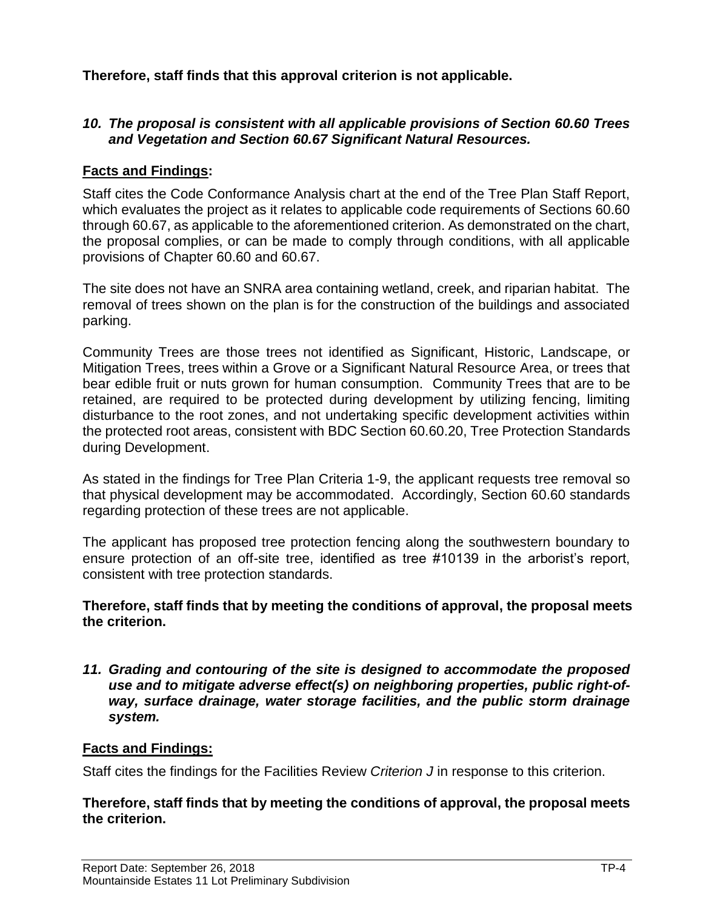**Therefore, staff finds that this approval criterion is not applicable.**

#### *10. The proposal is consistent with all applicable provisions of Section 60.60 Trees and Vegetation and Section 60.67 Significant Natural Resources.*

#### **Facts and Findings:**

Staff cites the Code Conformance Analysis chart at the end of the Tree Plan Staff Report, which evaluates the project as it relates to applicable code requirements of Sections 60.60 through 60.67, as applicable to the aforementioned criterion. As demonstrated on the chart, the proposal complies, or can be made to comply through conditions, with all applicable provisions of Chapter 60.60 and 60.67.

The site does not have an SNRA area containing wetland, creek, and riparian habitat. The removal of trees shown on the plan is for the construction of the buildings and associated parking.

Community Trees are those trees not identified as Significant, Historic, Landscape, or Mitigation Trees, trees within a Grove or a Significant Natural Resource Area, or trees that bear edible fruit or nuts grown for human consumption. Community Trees that are to be retained, are required to be protected during development by utilizing fencing, limiting disturbance to the root zones, and not undertaking specific development activities within the protected root areas, consistent with BDC Section 60.60.20, Tree Protection Standards during Development.

As stated in the findings for Tree Plan Criteria 1-9, the applicant requests tree removal so that physical development may be accommodated. Accordingly, Section 60.60 standards regarding protection of these trees are not applicable.

The applicant has proposed tree protection fencing along the southwestern boundary to ensure protection of an off-site tree, identified as tree #10139 in the arborist's report, consistent with tree protection standards.

#### **Therefore, staff finds that by meeting the conditions of approval, the proposal meets the criterion.**

*11. Grading and contouring of the site is designed to accommodate the proposed use and to mitigate adverse effect(s) on neighboring properties, public right-ofway, surface drainage, water storage facilities, and the public storm drainage system.*

#### **Facts and Findings:**

Staff cites the findings for the Facilities Review *Criterion J* in response to this criterion.

#### **Therefore, staff finds that by meeting the conditions of approval, the proposal meets the criterion.**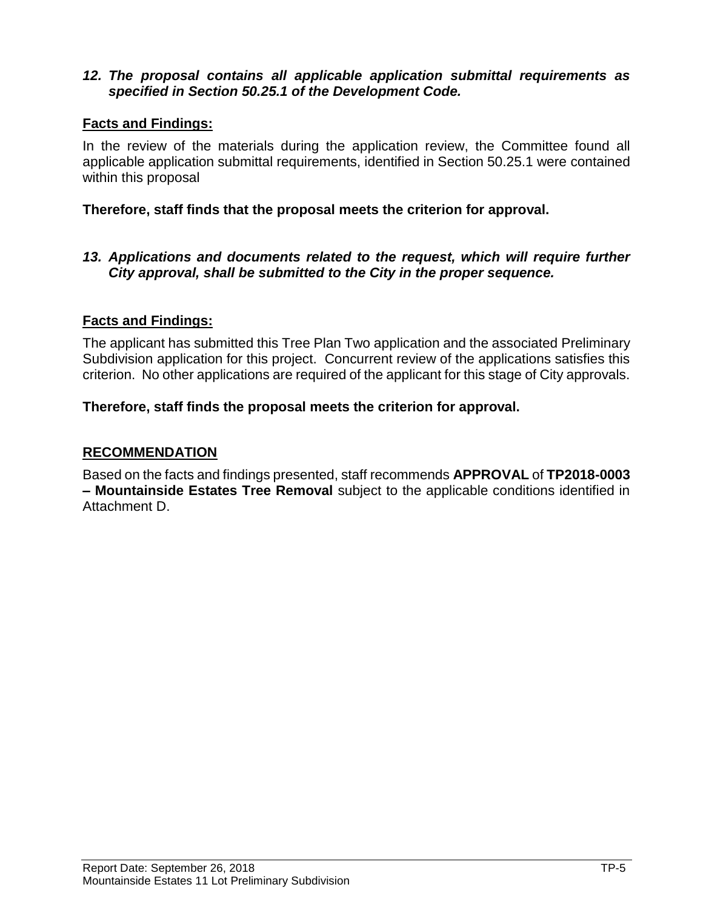#### *12. The proposal contains all applicable application submittal requirements as specified in Section 50.25.1 of the Development Code.*

#### **Facts and Findings:**

In the review of the materials during the application review, the Committee found all applicable application submittal requirements, identified in Section 50.25.1 were contained within this proposal

#### **Therefore, staff finds that the proposal meets the criterion for approval.**

#### *13. Applications and documents related to the request, which will require further City approval, shall be submitted to the City in the proper sequence.*

#### **Facts and Findings:**

The applicant has submitted this Tree Plan Two application and the associated Preliminary Subdivision application for this project. Concurrent review of the applications satisfies this criterion. No other applications are required of the applicant for this stage of City approvals.

#### **Therefore, staff finds the proposal meets the criterion for approval.**

#### **RECOMMENDATION**

Based on the facts and findings presented, staff recommends **APPROVAL** of **TP2018-0003 – Mountainside Estates Tree Removal** subject to the applicable conditions identified in Attachment D.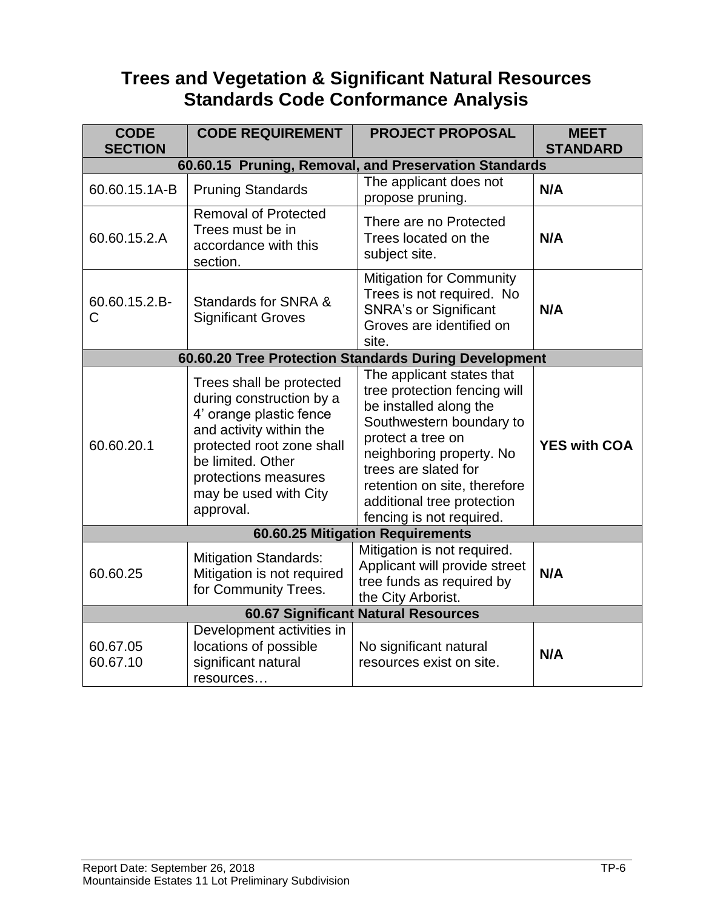# **Trees and Vegetation & Significant Natural Resources Standards Code Conformance Analysis**

| <b>CODE</b><br><b>SECTION</b>              | <b>CODE REQUIREMENT</b>                                                                                                                                                                                                    | <b>PROJECT PROPOSAL</b>                                                                                                                                                                                                                                                            | <b>MEET</b><br><b>STANDARD</b> |  |  |
|--------------------------------------------|----------------------------------------------------------------------------------------------------------------------------------------------------------------------------------------------------------------------------|------------------------------------------------------------------------------------------------------------------------------------------------------------------------------------------------------------------------------------------------------------------------------------|--------------------------------|--|--|
|                                            | 60.60.15 Pruning, Removal, and Preservation Standards                                                                                                                                                                      |                                                                                                                                                                                                                                                                                    |                                |  |  |
| 60.60.15.1A-B                              | <b>Pruning Standards</b>                                                                                                                                                                                                   | The applicant does not<br>propose pruning.                                                                                                                                                                                                                                         | N/A                            |  |  |
| 60.60.15.2.A                               | <b>Removal of Protected</b><br>Trees must be in<br>accordance with this<br>section.                                                                                                                                        | There are no Protected<br>Trees located on the<br>subject site.                                                                                                                                                                                                                    | N/A                            |  |  |
| 60.60.15.2.B-<br>C                         | Standards for SNRA &<br><b>Significant Groves</b>                                                                                                                                                                          | <b>Mitigation for Community</b><br>Trees is not required. No<br><b>SNRA's or Significant</b><br>Groves are identified on<br>site.                                                                                                                                                  | N/A                            |  |  |
|                                            |                                                                                                                                                                                                                            | 60.60.20 Tree Protection Standards During Development                                                                                                                                                                                                                              |                                |  |  |
| 60.60.20.1                                 | Trees shall be protected<br>during construction by a<br>4' orange plastic fence<br>and activity within the<br>protected root zone shall<br>be limited. Other<br>protections measures<br>may be used with City<br>approval. | The applicant states that<br>tree protection fencing will<br>be installed along the<br>Southwestern boundary to<br>protect a tree on<br>neighboring property. No<br>trees are slated for<br>retention on site, therefore<br>additional tree protection<br>fencing is not required. | <b>YES with COA</b>            |  |  |
|                                            |                                                                                                                                                                                                                            | 60.60.25 Mitigation Requirements                                                                                                                                                                                                                                                   |                                |  |  |
| 60.60.25                                   | <b>Mitigation Standards:</b><br>Mitigation is not required<br>for Community Trees.                                                                                                                                         | Mitigation is not required.<br>Applicant will provide street<br>tree funds as required by<br>the City Arborist.                                                                                                                                                                    | N/A                            |  |  |
| <b>60.67 Significant Natural Resources</b> |                                                                                                                                                                                                                            |                                                                                                                                                                                                                                                                                    |                                |  |  |
| 60.67.05<br>60.67.10                       | Development activities in<br>locations of possible<br>significant natural<br>resources                                                                                                                                     | No significant natural<br>resources exist on site.                                                                                                                                                                                                                                 | N/A                            |  |  |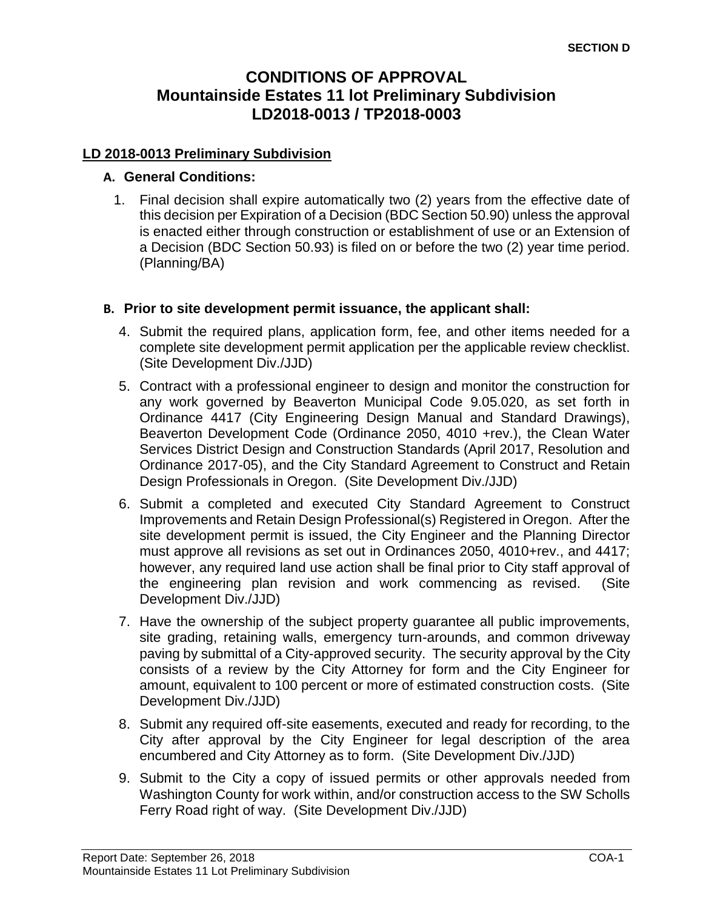# **CONDITIONS OF APPROVAL Mountainside Estates 11 lot Preliminary Subdivision LD2018-0013 / TP2018-0003**

#### **LD 2018-0013 Preliminary Subdivision**

#### **A. General Conditions:**

1. Final decision shall expire automatically two (2) years from the effective date of this decision per Expiration of a Decision (BDC Section 50.90) unless the approval is enacted either through construction or establishment of use or an Extension of a Decision (BDC Section 50.93) is filed on or before the two (2) year time period. (Planning/BA)

#### **B. Prior to site development permit issuance, the applicant shall:**

- 4. Submit the required plans, application form, fee, and other items needed for a complete site development permit application per the applicable review checklist. (Site Development Div./JJD)
- 5. Contract with a professional engineer to design and monitor the construction for any work governed by Beaverton Municipal Code 9.05.020, as set forth in Ordinance 4417 (City Engineering Design Manual and Standard Drawings), Beaverton Development Code (Ordinance 2050, 4010 +rev.), the Clean Water Services District Design and Construction Standards (April 2017, Resolution and Ordinance 2017-05), and the City Standard Agreement to Construct and Retain Design Professionals in Oregon. (Site Development Div./JJD)
- 6. Submit a completed and executed City Standard Agreement to Construct Improvements and Retain Design Professional(s) Registered in Oregon. After the site development permit is issued, the City Engineer and the Planning Director must approve all revisions as set out in Ordinances 2050, 4010+rev., and 4417; however, any required land use action shall be final prior to City staff approval of the engineering plan revision and work commencing as revised. (Site Development Div./JJD)
- 7. Have the ownership of the subject property guarantee all public improvements, site grading, retaining walls, emergency turn-arounds, and common driveway paving by submittal of a City-approved security. The security approval by the City consists of a review by the City Attorney for form and the City Engineer for amount, equivalent to 100 percent or more of estimated construction costs. (Site Development Div./JJD)
- 8. Submit any required off-site easements, executed and ready for recording, to the City after approval by the City Engineer for legal description of the area encumbered and City Attorney as to form. (Site Development Div./JJD)
- 9. Submit to the City a copy of issued permits or other approvals needed from Washington County for work within, and/or construction access to the SW Scholls Ferry Road right of way. (Site Development Div./JJD)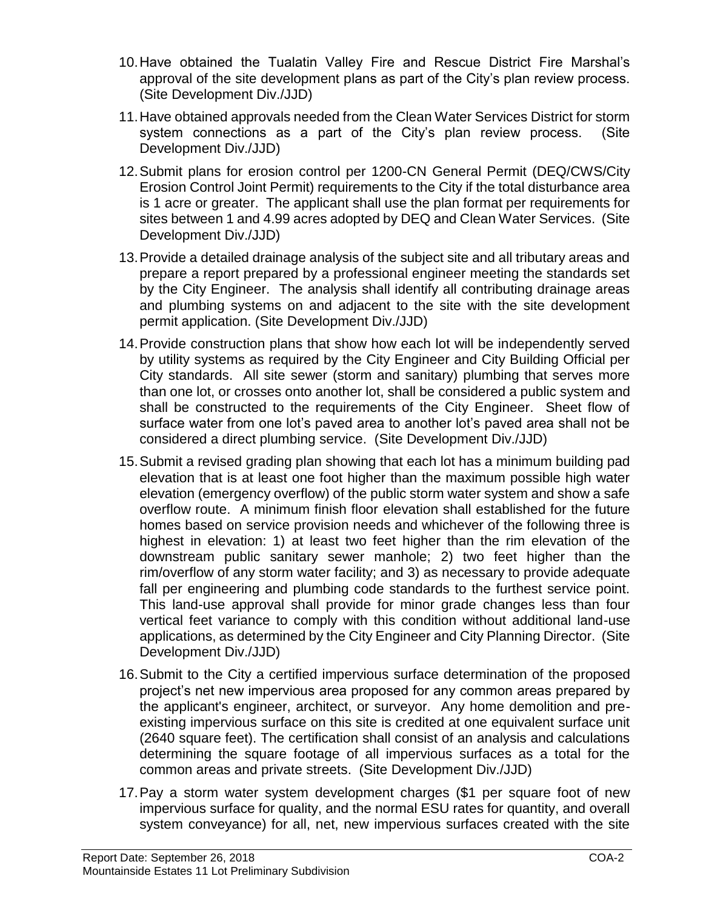- 10.Have obtained the Tualatin Valley Fire and Rescue District Fire Marshal's approval of the site development plans as part of the City's plan review process. (Site Development Div./JJD)
- 11.Have obtained approvals needed from the Clean Water Services District for storm system connections as a part of the City's plan review process. (Site Development Div./JJD)
- 12.Submit plans for erosion control per 1200-CN General Permit (DEQ/CWS/City Erosion Control Joint Permit) requirements to the City if the total disturbance area is 1 acre or greater. The applicant shall use the plan format per requirements for sites between 1 and 4.99 acres adopted by DEQ and Clean Water Services. (Site Development Div./JJD)
- 13.Provide a detailed drainage analysis of the subject site and all tributary areas and prepare a report prepared by a professional engineer meeting the standards set by the City Engineer. The analysis shall identify all contributing drainage areas and plumbing systems on and adjacent to the site with the site development permit application. (Site Development Div./JJD)
- 14.Provide construction plans that show how each lot will be independently served by utility systems as required by the City Engineer and City Building Official per City standards. All site sewer (storm and sanitary) plumbing that serves more than one lot, or crosses onto another lot, shall be considered a public system and shall be constructed to the requirements of the City Engineer. Sheet flow of surface water from one lot's paved area to another lot's paved area shall not be considered a direct plumbing service. (Site Development Div./JJD)
- 15.Submit a revised grading plan showing that each lot has a minimum building pad elevation that is at least one foot higher than the maximum possible high water elevation (emergency overflow) of the public storm water system and show a safe overflow route. A minimum finish floor elevation shall established for the future homes based on service provision needs and whichever of the following three is highest in elevation: 1) at least two feet higher than the rim elevation of the downstream public sanitary sewer manhole; 2) two feet higher than the rim/overflow of any storm water facility; and 3) as necessary to provide adequate fall per engineering and plumbing code standards to the furthest service point. This land-use approval shall provide for minor grade changes less than four vertical feet variance to comply with this condition without additional land-use applications, as determined by the City Engineer and City Planning Director. (Site Development Div./JJD)
- 16.Submit to the City a certified impervious surface determination of the proposed project's net new impervious area proposed for any common areas prepared by the applicant's engineer, architect, or surveyor. Any home demolition and preexisting impervious surface on this site is credited at one equivalent surface unit (2640 square feet). The certification shall consist of an analysis and calculations determining the square footage of all impervious surfaces as a total for the common areas and private streets. (Site Development Div./JJD)
- 17.Pay a storm water system development charges (\$1 per square foot of new impervious surface for quality, and the normal ESU rates for quantity, and overall system conveyance) for all, net, new impervious surfaces created with the site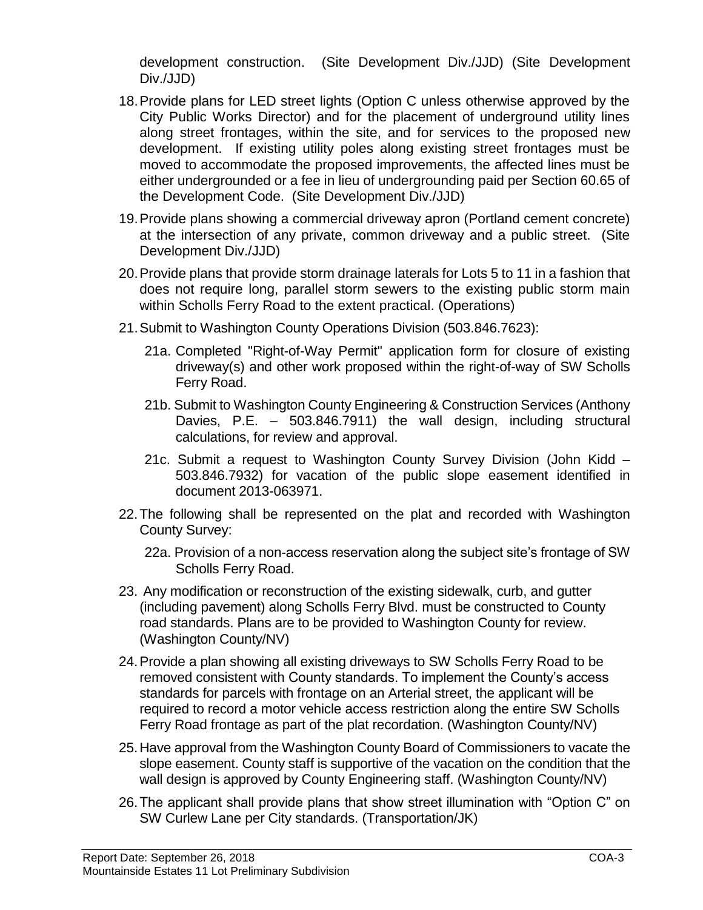development construction. (Site Development Div./JJD) (Site Development Div./JJD)

- 18.Provide plans for LED street lights (Option C unless otherwise approved by the City Public Works Director) and for the placement of underground utility lines along street frontages, within the site, and for services to the proposed new development. If existing utility poles along existing street frontages must be moved to accommodate the proposed improvements, the affected lines must be either undergrounded or a fee in lieu of undergrounding paid per Section 60.65 of the Development Code. (Site Development Div./JJD)
- 19.Provide plans showing a commercial driveway apron (Portland cement concrete) at the intersection of any private, common driveway and a public street. (Site Development Div./JJD)
- 20.Provide plans that provide storm drainage laterals for Lots 5 to 11 in a fashion that does not require long, parallel storm sewers to the existing public storm main within Scholls Ferry Road to the extent practical. (Operations)
- 21.Submit to Washington County Operations Division (503.846.7623):
	- 21a. Completed "Right-of-Way Permit" application form for closure of existing driveway(s) and other work proposed within the right-of-way of SW Scholls Ferry Road.
	- 21b. Submit to Washington County Engineering & Construction Services (Anthony Davies, P.E. – 503.846.7911) the wall design, including structural calculations, for review and approval.
	- 21c. Submit a request to Washington County Survey Division (John Kidd 503.846.7932) for vacation of the public slope easement identified in document 2013-063971.
- 22.The following shall be represented on the plat and recorded with Washington County Survey:
	- 22a. Provision of a non-access reservation along the subject site's frontage of SW Scholls Ferry Road.
- 23. Any modification or reconstruction of the existing sidewalk, curb, and gutter (including pavement) along Scholls Ferry Blvd. must be constructed to County road standards. Plans are to be provided to Washington County for review. (Washington County/NV)
- 24.Provide a plan showing all existing driveways to SW Scholls Ferry Road to be removed consistent with County standards. To implement the County's access standards for parcels with frontage on an Arterial street, the applicant will be required to record a motor vehicle access restriction along the entire SW Scholls Ferry Road frontage as part of the plat recordation. (Washington County/NV)
- 25.Have approval from the Washington County Board of Commissioners to vacate the slope easement. County staff is supportive of the vacation on the condition that the wall design is approved by County Engineering staff. (Washington County/NV)
- 26.The applicant shall provide plans that show street illumination with "Option C" on SW Curlew Lane per City standards. (Transportation/JK)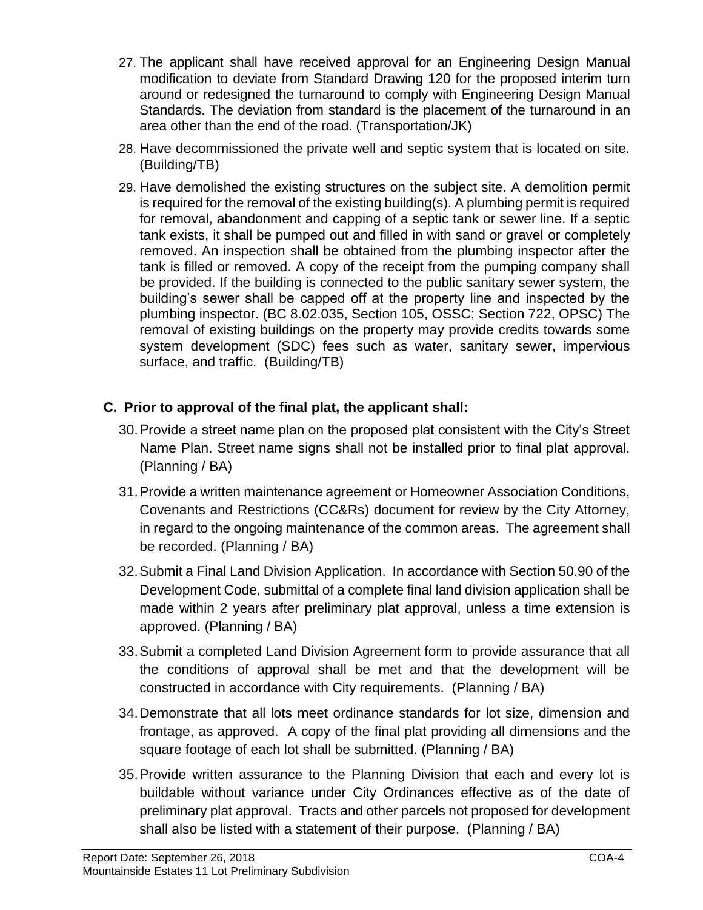- 27. The applicant shall have received approval for an Engineering Design Manual modification to deviate from Standard Drawing 120 for the proposed interim turn around or redesigned the turnaround to comply with Engineering Design Manual Standards. The deviation from standard is the placement of the turnaround in an area other than the end of the road. (Transportation/JK)
- 28. Have decommissioned the private well and septic system that is located on site. (Building/TB)
- 29. Have demolished the existing structures on the subject site. A demolition permit is required for the removal of the existing building(s). A plumbing permit is required for removal, abandonment and capping of a septic tank or sewer line. If a septic tank exists, it shall be pumped out and filled in with sand or gravel or completely removed. An inspection shall be obtained from the plumbing inspector after the tank is filled or removed. A copy of the receipt from the pumping company shall be provided. If the building is connected to the public sanitary sewer system, the building's sewer shall be capped off at the property line and inspected by the plumbing inspector. (BC 8.02.035, Section 105, OSSC; Section 722, OPSC) The removal of existing buildings on the property may provide credits towards some system development (SDC) fees such as water, sanitary sewer, impervious surface, and traffic. (Building/TB)

# **C. Prior to approval of the final plat, the applicant shall:**

- 30.Provide a street name plan on the proposed plat consistent with the City's Street Name Plan. Street name signs shall not be installed prior to final plat approval. (Planning / BA)
- 31.Provide a written maintenance agreement or Homeowner Association Conditions, Covenants and Restrictions (CC&Rs) document for review by the City Attorney, in regard to the ongoing maintenance of the common areas. The agreement shall be recorded. (Planning / BA)
- 32.Submit a Final Land Division Application. In accordance with Section 50.90 of the Development Code, submittal of a complete final land division application shall be made within 2 years after preliminary plat approval, unless a time extension is approved. (Planning / BA)
- 33.Submit a completed Land Division Agreement form to provide assurance that all the conditions of approval shall be met and that the development will be constructed in accordance with City requirements. (Planning / BA)
- 34.Demonstrate that all lots meet ordinance standards for lot size, dimension and frontage, as approved. A copy of the final plat providing all dimensions and the square footage of each lot shall be submitted. (Planning / BA)
- 35.Provide written assurance to the Planning Division that each and every lot is buildable without variance under City Ordinances effective as of the date of preliminary plat approval. Tracts and other parcels not proposed for development shall also be listed with a statement of their purpose. (Planning / BA)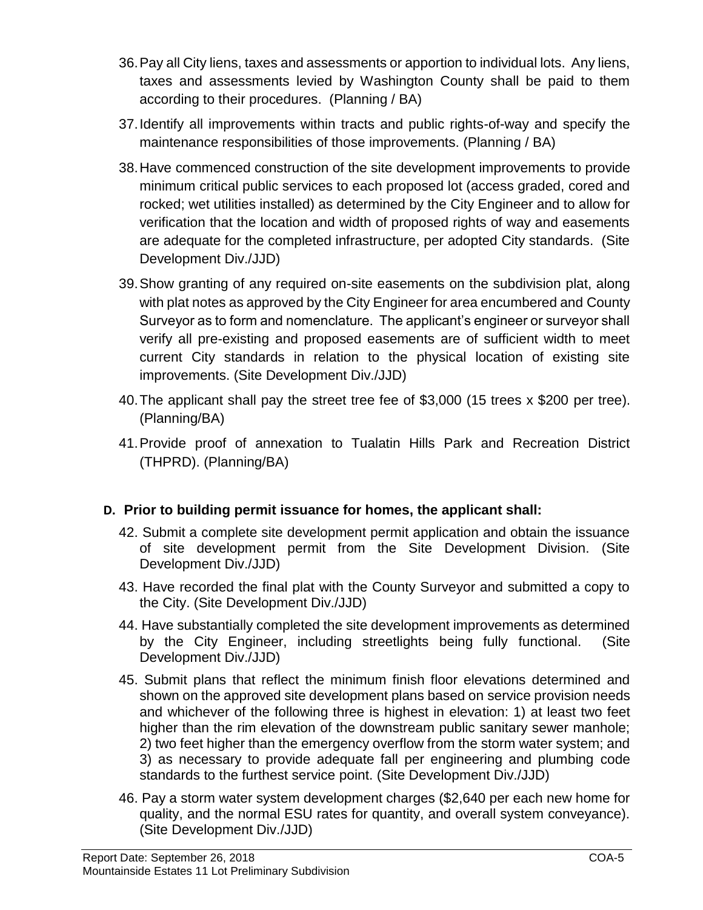- 36.Pay all City liens, taxes and assessments or apportion to individual lots. Any liens, taxes and assessments levied by Washington County shall be paid to them according to their procedures. (Planning / BA)
- 37.Identify all improvements within tracts and public rights-of-way and specify the maintenance responsibilities of those improvements. (Planning / BA)
- 38.Have commenced construction of the site development improvements to provide minimum critical public services to each proposed lot (access graded, cored and rocked; wet utilities installed) as determined by the City Engineer and to allow for verification that the location and width of proposed rights of way and easements are adequate for the completed infrastructure, per adopted City standards. (Site Development Div./JJD)
- 39.Show granting of any required on-site easements on the subdivision plat, along with plat notes as approved by the City Engineer for area encumbered and County Surveyor as to form and nomenclature. The applicant's engineer or surveyor shall verify all pre-existing and proposed easements are of sufficient width to meet current City standards in relation to the physical location of existing site improvements. (Site Development Div./JJD)
- 40.The applicant shall pay the street tree fee of \$3,000 (15 trees x \$200 per tree). (Planning/BA)
- 41.Provide proof of annexation to Tualatin Hills Park and Recreation District (THPRD). (Planning/BA)

# **D. Prior to building permit issuance for homes, the applicant shall:**

- 42. Submit a complete site development permit application and obtain the issuance of site development permit from the Site Development Division. (Site Development Div./JJD)
- 43. Have recorded the final plat with the County Surveyor and submitted a copy to the City. (Site Development Div./JJD)
- 44. Have substantially completed the site development improvements as determined by the City Engineer, including streetlights being fully functional. (Site Development Div./JJD)
- 45. Submit plans that reflect the minimum finish floor elevations determined and shown on the approved site development plans based on service provision needs and whichever of the following three is highest in elevation: 1) at least two feet higher than the rim elevation of the downstream public sanitary sewer manhole; 2) two feet higher than the emergency overflow from the storm water system; and 3) as necessary to provide adequate fall per engineering and plumbing code standards to the furthest service point. (Site Development Div./JJD)
- 46. Pay a storm water system development charges (\$2,640 per each new home for quality, and the normal ESU rates for quantity, and overall system conveyance). (Site Development Div./JJD)